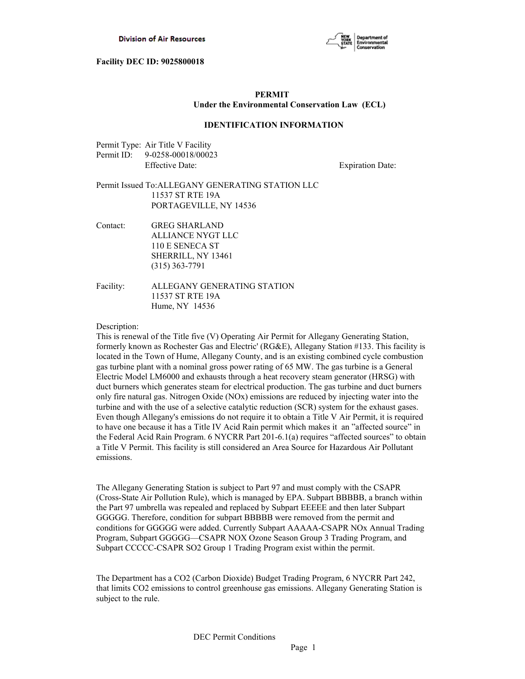

# **PERMIT Under the Environmental Conservation Law (ECL)**

## **IDENTIFICATION INFORMATION**

| Permit Type: Air Title V Facility |
|-----------------------------------|
| Permit ID: 9-0258-00018/00023     |
| Effective Date:                   |

**Expiration Date:** 

## Permit Issued To:ALLEGANY GENERATING STATION LLC 11537 ST RTE 19A PORTAGEVILLE, NY 14536

Contact: GREG SHARLAND ALLIANCE NYGT LLC 110 E SENECA ST SHERRILL, NY 13461 (315) 363-7791

Facility: ALLEGANY GENERATING STATION 11537 ST RTE 19A Hume, NY 14536

## Description:

This is renewal of the Title five (V) Operating Air Permit for Allegany Generating Station, formerly known as Rochester Gas and Electric' (RG&E), Allegany Station #133. This facility is located in the Town of Hume, Allegany County, and is an existing combined cycle combustion gas turbine plant with a nominal gross power rating of 65 MW. The gas turbine is a General Electric Model LM6000 and exhausts through a heat recovery steam generator (HRSG) with duct burners which generates steam for electrical production. The gas turbine and duct burners only fire natural gas. Nitrogen Oxide (NOx) emissions are reduced by injecting water into the turbine and with the use of a selective catalytic reduction (SCR) system for the exhaust gases. Even though Allegany's emissions do not require it to obtain a Title V Air Permit, it is required to have one because it has a Title IV Acid Rain permit which makes it an "affected source" in the Federal Acid Rain Program. 6 NYCRR Part 201-6.1(a) requires "affected sources" to obtain a Title V Permit. This facility is still considered an Area Source for Hazardous Air Pollutant emissions.

The Allegany Generating Station is subject to Part 97 and must comply with the CSAPR (Cross-State Air Pollution Rule), which is managed by EPA. Subpart BBBBB, a branch within the Part 97 umbrella was repealed and replaced by Subpart EEEEE and then later Subpart GGGGG. Therefore, condition for subpart BBBBB were removed from the permit and conditions for GGGGG were added. Currently Subpart AAAAA-CSAPR NOx Annual Trading Program, Subpart GGGGG—CSAPR NOX Ozone Season Group 3 Trading Program, and Subpart CCCCC-CSAPR SO2 Group 1 Trading Program exist within the permit.

The Department has a CO2 (Carbon Dioxide) Budget Trading Program, 6 NYCRR Part 242, that limits CO2 emissions to control greenhouse gas emissions. Allegany Generating Station is subject to the rule.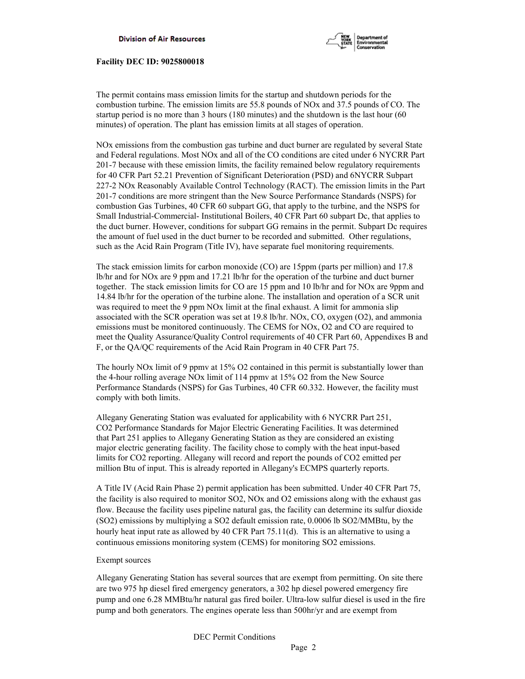

The permit contains mass emission limits for the startup and shutdown periods for the combustion turbine. The emission limits are 55.8 pounds of NOx and 37.5 pounds of CO. The startup period is no more than 3 hours (180 minutes) and the shutdown is the last hour (60 minutes) of operation. The plant has emission limits at all stages of operation.

NOx emissions from the combustion gas turbine and duct burner are regulated by several State and Federal regulations. Most NOx and all of the CO conditions are cited under 6 NYCRR Part 201-7 because with these emission limits, the facility remained below regulatory requirements for 40 CFR Part 52.21 Prevention of Significant Deterioration (PSD) and 6NYCRR Subpart 227-2 NOx Reasonably Available Control Technology (RACT). The emission limits in the Part 201-7 conditions are more stringent than the New Source Performance Standards (NSPS) for combustion Gas Turbines, 40 CFR 60 subpart GG, that apply to the turbine, and the NSPS for Small Industrial-Commercial- Institutional Boilers, 40 CFR Part 60 subpart Dc, that applies to the duct burner. However, conditions for subpart GG remains in the permit. Subpart Dc requires the amount of fuel used in the duct burner to be recorded and submitted. Other regulations, such as the Acid Rain Program (Title IV), have separate fuel monitoring requirements.

The stack emission limits for carbon monoxide (CO) are 15ppm (parts per million) and 17.8 lb/hr and for NOx are 9 ppm and 17.21 lb/hr for the operation of the turbine and duct burner together. The stack emission limits for CO are 15 ppm and 10 lb/hr and for NOx are 9ppm and 14.84 lb/hr for the operation of the turbine alone. The installation and operation of a SCR unit was required to meet the 9 ppm NO<sub>x</sub> limit at the final exhaust. A limit for ammonia slip associated with the SCR operation was set at 19.8 lb/hr. NOx, CO, oxygen (O2), and ammonia emissions must be monitored continuously. The CEMS for NOx, O2 and CO are required to meet the Quality Assurance/Quality Control requirements of 40 CFR Part 60, Appendixes B and F, or the QA/QC requirements of the Acid Rain Program in 40 CFR Part 75.

The hourly NOx limit of 9 ppmv at 15% O2 contained in this permit is substantially lower than the 4-hour rolling average NOx limit of 114 ppmv at 15% O2 from the New Source Performance Standards (NSPS) for Gas Turbines, 40 CFR 60.332. However, the facility must comply with both limits.

Allegany Generating Station was evaluated for applicability with 6 NYCRR Part 251, CO2 Performance Standards for Major Electric Generating Facilities. It was determined that Part 251 applies to Allegany Generating Station as they are considered an existing major electric generating facility. The facility chose to comply with the heat input-based limits for CO2 reporting. Allegany will record and report the pounds of CO2 emitted per million Btu of input. This is already reported in Allegany's ECMPS quarterly reports.

A Title IV (Acid Rain Phase 2) permit application has been submitted. Under 40 CFR Part 75, the facility is also required to monitor SO2, NOx and O2 emissions along with the exhaust gas flow. Because the facility uses pipeline natural gas, the facility can determine its sulfur dioxide (SO2) emissions by multiplying a SO2 default emission rate, 0.0006 lb SO2/MMBtu, by the hourly heat input rate as allowed by 40 CFR Part 75.11(d). This is an alternative to using a continuous emissions monitoring system (CEMS) for monitoring SO2 emissions.

## Exempt sources

Allegany Generating Station has several sources that are exempt from permitting. On site there are two 975 hp diesel fired emergency generators, a 302 hp diesel powered emergency fire pump and one 6.28 MMBtu/hr natural gas fired boiler. Ultra-low sulfur diesel is used in the fire pump and both generators. The engines operate less than 500hr/yr and are exempt from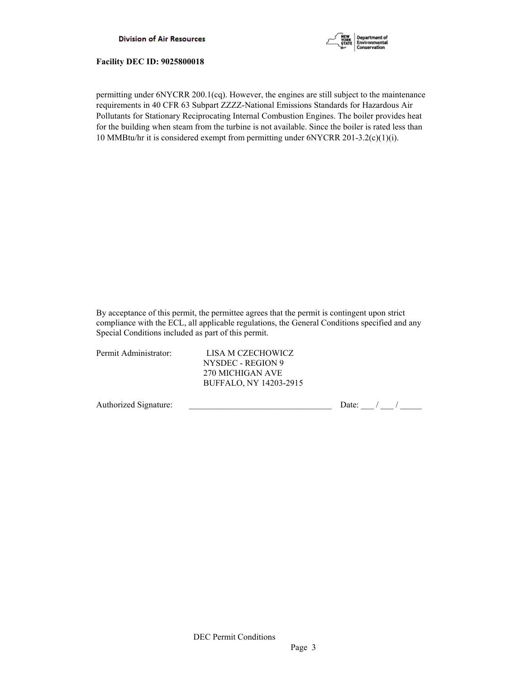



permitting under 6NYCRR 200.1(cq). However, the engines are still subject to the maintenance requirements in 40 CFR 63 Subpart ZZZZ-National Emissions Standards for Hazardous Air Pollutants for Stationary Reciprocating Internal Combustion Engines. The boiler provides heat for the building when steam from the turbine is not available. Since the boiler is rated less than 10 MMBtu/hr it is considered exempt from permitting under 6NYCRR 201-3.2(c)(1)(i).

By acceptance of this permit, the permittee agrees that the permit is contingent upon strict compliance with the ECL, all applicable regulations, the General Conditions specified and any Special Conditions included as part of this permit.

| Permit Administrator: | LISA M CZECHOWICZ      |  |
|-----------------------|------------------------|--|
|                       | NYSDEC - REGION 9      |  |
|                       | 270 MICHIGAN AVE       |  |
|                       | BUFFALO, NY 14203-2915 |  |
|                       |                        |  |
|                       |                        |  |

Authorized Signature:  $\frac{1}{2}$  Date:  $\frac{1}{2}$  Date:  $\frac{1}{2}$  /  $\frac{1}{2}$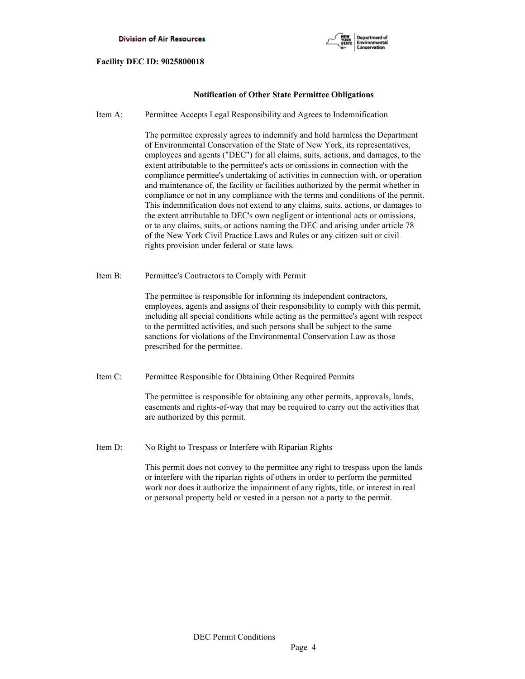

## **Notification of Other State Permittee Obligations**

Item A: Permittee Accepts Legal Responsibility and Agrees to Indemnification

 The permittee expressly agrees to indemnify and hold harmless the Department of Environmental Conservation of the State of New York, its representatives, employees and agents ("DEC") for all claims, suits, actions, and damages, to the extent attributable to the permittee's acts or omissions in connection with the compliance permittee's undertaking of activities in connection with, or operation and maintenance of, the facility or facilities authorized by the permit whether in compliance or not in any compliance with the terms and conditions of the permit. This indemnification does not extend to any claims, suits, actions, or damages to the extent attributable to DEC's own negligent or intentional acts or omissions, or to any claims, suits, or actions naming the DEC and arising under article 78 of the New York Civil Practice Laws and Rules or any citizen suit or civil rights provision under federal or state laws.

Item B: Permittee's Contractors to Comply with Permit

 The permittee is responsible for informing its independent contractors, employees, agents and assigns of their responsibility to comply with this permit, including all special conditions while acting as the permittee's agent with respect to the permitted activities, and such persons shall be subject to the same sanctions for violations of the Environmental Conservation Law as those prescribed for the permittee.

Item C: Permittee Responsible for Obtaining Other Required Permits

 The permittee is responsible for obtaining any other permits, approvals, lands, easements and rights-of-way that may be required to carry out the activities that are authorized by this permit.

Item D: No Right to Trespass or Interfere with Riparian Rights

 This permit does not convey to the permittee any right to trespass upon the lands or interfere with the riparian rights of others in order to perform the permitted work nor does it authorize the impairment of any rights, title, or interest in real or personal property held or vested in a person not a party to the permit.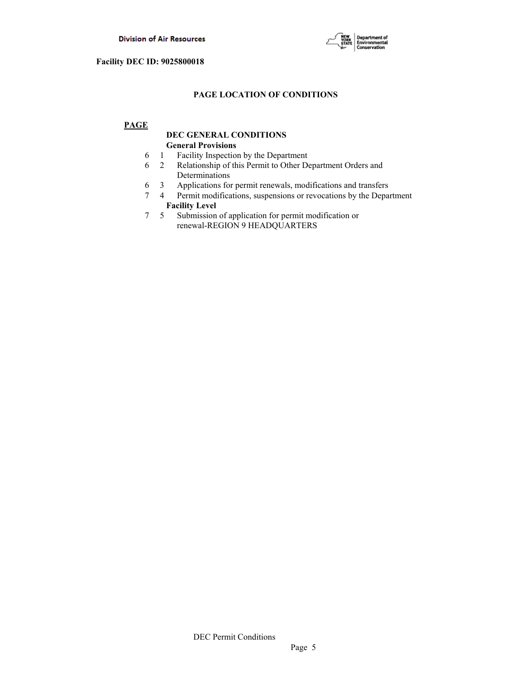

# **PAGE LOCATION OF CONDITIONS**

# **PAGE**

# **DEC GENERAL CONDITIONS General Provisions**

- 6 1 Facility Inspection by the Department
- 6 2 Relationship of this Permit to Other Department Orders and Determinations
- 6 3 Applications for permit renewals, modifications and transfers
- 7 4 Permit modifications, suspensions or revocations by the Department  **Facility Level**
- 7 5 Submission of application for permit modification or renewal-REGION 9 HEADQUARTERS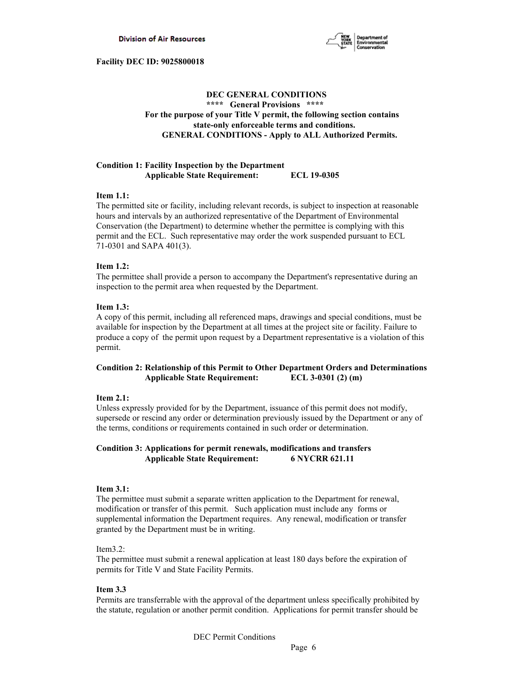

# **DEC GENERAL CONDITIONS \*\*\*\* General Provisions \*\*\*\* For the purpose of your Title V permit, the following section contains state-only enforceable terms and conditions. GENERAL CONDITIONS - Apply to ALL Authorized Permits.**

## **Condition 1: Facility Inspection by the Department Applicable State Requirement: ECL 19-0305**

## **Item 1.1:**

The permitted site or facility, including relevant records, is subject to inspection at reasonable hours and intervals by an authorized representative of the Department of Environmental Conservation (the Department) to determine whether the permittee is complying with this permit and the ECL. Such representative may order the work suspended pursuant to ECL 71-0301 and SAPA 401(3).

## **Item 1.2:**

The permittee shall provide a person to accompany the Department's representative during an inspection to the permit area when requested by the Department.

## **Item 1.3:**

A copy of this permit, including all referenced maps, drawings and special conditions, must be available for inspection by the Department at all times at the project site or facility. Failure to produce a copy of the permit upon request by a Department representative is a violation of this permit.

# **Condition 2: Relationship of this Permit to Other Department Orders and Determinations Applicable State Requirement: ECL 3-0301 (2) (m)**

## **Item 2.1:**

Unless expressly provided for by the Department, issuance of this permit does not modify, supersede or rescind any order or determination previously issued by the Department or any of the terms, conditions or requirements contained in such order or determination.

## **Condition 3: Applications for permit renewals, modifications and transfers Applicable State Requirement: 6 NYCRR 621.11**

## **Item 3.1:**

The permittee must submit a separate written application to the Department for renewal, modification or transfer of this permit. Such application must include any forms or supplemental information the Department requires. Any renewal, modification or transfer granted by the Department must be in writing.

## Item3.2:

The permittee must submit a renewal application at least 180 days before the expiration of permits for Title V and State Facility Permits.

## **Item 3.3**

Permits are transferrable with the approval of the department unless specifically prohibited by the statute, regulation or another permit condition. Applications for permit transfer should be

DEC Permit Conditions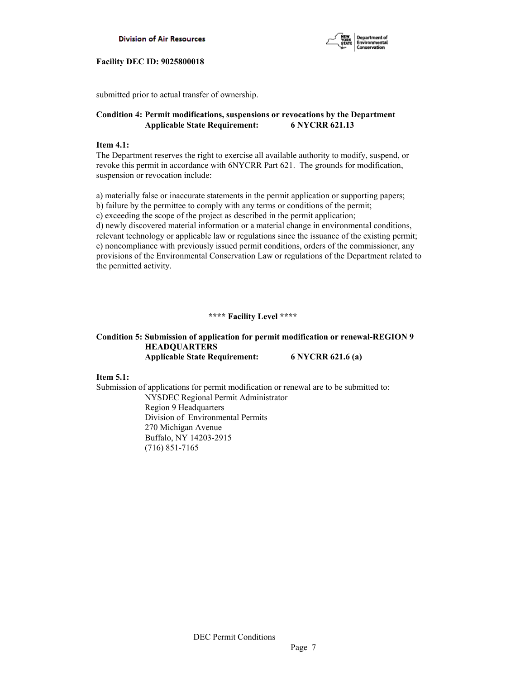



submitted prior to actual transfer of ownership.

## **Condition 4: Permit modifications, suspensions or revocations by the Department Applicable State Requirement: 6 NYCRR 621.13**

### **Item 4.1:**

The Department reserves the right to exercise all available authority to modify, suspend, or revoke this permit in accordance with 6NYCRR Part 621. The grounds for modification, suspension or revocation include:

a) materially false or inaccurate statements in the permit application or supporting papers; b) failure by the permittee to comply with any terms or conditions of the permit; c) exceeding the scope of the project as described in the permit application; d) newly discovered material information or a material change in environmental conditions, relevant technology or applicable law or regulations since the issuance of the existing permit; e) noncompliance with previously issued permit conditions, orders of the commissioner, any provisions of the Environmental Conservation Law or regulations of the Department related to the permitted activity.

## **\*\*\*\* Facility Level \*\*\*\***

# **Condition 5: Submission of application for permit modification or renewal-REGION 9 HEADQUARTERS Applicable State Requirement: 6 NYCRR 621.6 (a)**

**Item 5.1:**

Submission of applications for permit modification or renewal are to be submitted to: NYSDEC Regional Permit Administrator Region 9 Headquarters Division of Environmental Permits 270 Michigan Avenue Buffalo, NY 14203-2915 (716) 851-7165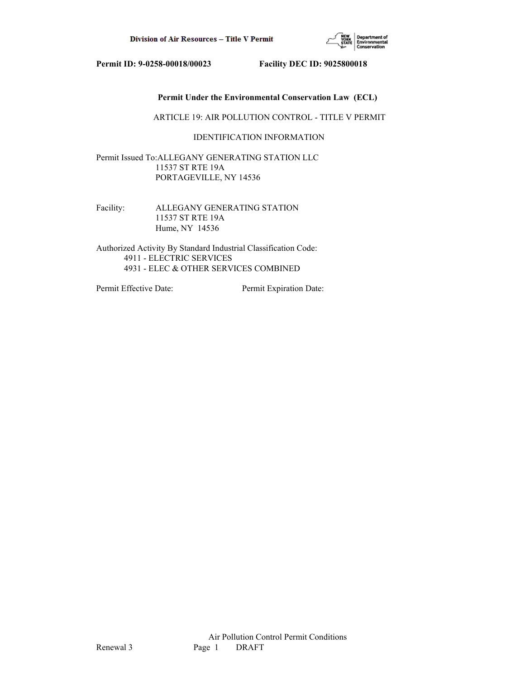

# **Permit Under the Environmental Conservation Law (ECL)**

ARTICLE 19: AIR POLLUTION CONTROL - TITLE V PERMIT

# IDENTIFICATION INFORMATION

Permit Issued To:ALLEGANY GENERATING STATION LLC 11537 ST RTE 19A PORTAGEVILLE, NY 14536

Facility: ALLEGANY GENERATING STATION 11537 ST RTE 19A Hume, NY 14536

Authorized Activity By Standard Industrial Classification Code: 4911 - ELECTRIC SERVICES 4931 - ELEC & OTHER SERVICES COMBINED

Permit Effective Date: Permit Expiration Date: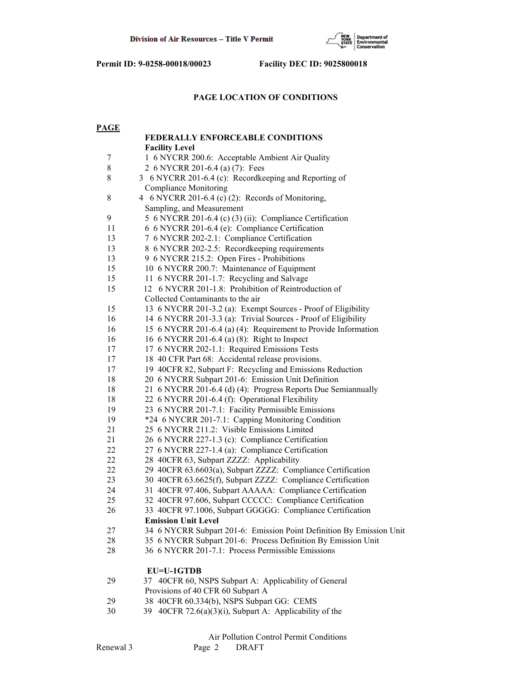

## **PAGE LOCATION OF CONDITIONS**

| <b>PAGE</b> |                                                                      |
|-------------|----------------------------------------------------------------------|
|             | <b>FEDERALLY ENFORCEABLE CONDITIONS</b>                              |
|             | <b>Facility Level</b>                                                |
| 7           | 1 6 NYCRR 200.6: Acceptable Ambient Air Quality                      |
| $\,8\,$     | 2 6 NYCRR 201-6.4 (a) (7): Fees                                      |
| 8           | 3 6 NYCRR 201-6.4 (c): Recordkeeping and Reporting of                |
|             | <b>Compliance Monitoring</b>                                         |
| $8\,$       | 4 6 NYCRR 201-6.4 (c) (2): Records of Monitoring,                    |
|             | Sampling, and Measurement                                            |
| 9           | 5 6 NYCRR 201-6.4 (c) (3) (ii): Compliance Certification             |
| 11          | 6 6 NYCRR 201-6.4 (e): Compliance Certification                      |
| 13          | 7 6 NYCRR 202-2.1: Compliance Certification                          |
| 13          | 8 6 NYCRR 202-2.5: Recordkeeping requirements                        |
| 13          | 9 6 NYCRR 215.2: Open Fires - Prohibitions                           |
| 15          | 10 6 NYCRR 200.7: Maintenance of Equipment                           |
| 15          | 11 6 NYCRR 201-1.7: Recycling and Salvage                            |
| 15          | 12 6 NYCRR 201-1.8: Prohibition of Reintroduction of                 |
|             | Collected Contaminants to the air                                    |
| 15          | 13 6 NYCRR 201-3.2 (a): Exempt Sources - Proof of Eligibility        |
| 16          | 14 6 NYCRR 201-3.3 (a): Trivial Sources - Proof of Eligibility       |
| 16          | 15 6 NYCRR 201-6.4 (a) (4): Requirement to Provide Information       |
| 16          | 16 6 NYCRR 201-6.4 (a) (8): Right to Inspect                         |
| 17          | 17 6 NYCRR 202-1.1: Required Emissions Tests                         |
| 17          | 18 40 CFR Part 68: Accidental release provisions.                    |
| 17          | 19 40CFR 82, Subpart F: Recycling and Emissions Reduction            |
| 18          | 20 6 NYCRR Subpart 201-6: Emission Unit Definition                   |
| 18          | 21 6 NYCRR 201-6.4 (d) (4): Progress Reports Due Semiannually        |
| 18          | 22 6 NYCRR 201-6.4 (f): Operational Flexibility                      |
| 19          | 23 6 NYCRR 201-7.1: Facility Permissible Emissions                   |
| 19          | *24 6 NYCRR 201-7.1: Capping Monitoring Condition                    |
| 21          | 25 6 NYCRR 211.2: Visible Emissions Limited                          |
| 21          | 26 6 NYCRR 227-1.3 (c): Compliance Certification                     |
| 22          | 27 6 NYCRR 227-1.4 (a): Compliance Certification                     |
| 22          | 28 40CFR 63, Subpart ZZZZ: Applicability                             |
| 22          | 29 40CFR 63.6603(a), Subpart ZZZZ: Compliance Certification          |
| 23          | 30 40CFR 63.6625(f), Subpart ZZZZ: Compliance Certification          |
| 24          | 31 40CFR 97.406, Subpart AAAAA: Compliance Certification             |
| 25          | 32 40CFR 97.606, Subpart CCCCC: Compliance Certification             |
| 26          | 33 40CFR 97.1006, Subpart GGGGG: Compliance Certification            |
|             | <b>Emission Unit Level</b>                                           |
| 27          | 34 6 NYCRR Subpart 201-6: Emission Point Definition By Emission Unit |
| 28          | 35 6 NYCRR Subpart 201-6: Process Definition By Emission Unit        |
| 28          | 36 6 NYCRR 201-7.1: Process Permissible Emissions                    |
|             | EU=U-1GTDB                                                           |
| 29          | 37 40CFR 60, NSPS Subpart A: Applicability of General                |
|             | Provisions of 40 CFR 60 Subpart A                                    |
| 29          | 38 40CFR 60.334(b), NSPS Subpart GG: CEMS                            |
| 30          | 40CFR 72.6(a)(3)(i), Subpart A: Applicability of the<br>39.          |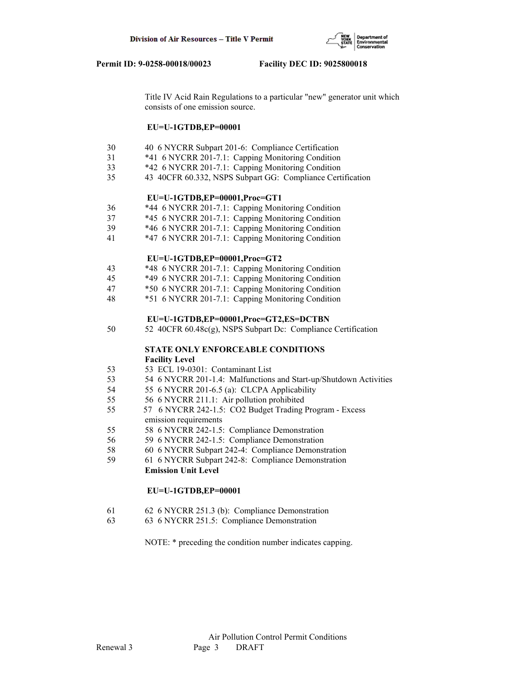

 Title IV Acid Rain Regulations to a particular "new" generator unit which consists of one emission source.

## **EU=U-1GTDB,EP=00001**

- 30 40 6 NYCRR Subpart 201-6: Compliance Certification
- 31 \*41 6 NYCRR 201-7.1: Capping Monitoring Condition
- 33 \*42 6 NYCRR 201-7.1: Capping Monitoring Condition
- 35 43 40CFR 60.332, NSPS Subpart GG: Compliance Certification

## **EU=U-1GTDB,EP=00001,Proc=GT1**

- 36 \*44 6 NYCRR 201-7.1: Capping Monitoring Condition
- 37 \*45 6 NYCRR 201-7.1: Capping Monitoring Condition
- 39 \*46 6 NYCRR 201-7.1: Capping Monitoring Condition
- 41 \*47 6 NYCRR 201-7.1: Capping Monitoring Condition

## **EU=U-1GTDB,EP=00001,Proc=GT2**

- 43 \*48 6 NYCRR 201-7.1: Capping Monitoring Condition
- 45 \*49 6 NYCRR 201-7.1: Capping Monitoring Condition
- 47 \*50 6 NYCRR 201-7.1: Capping Monitoring Condition
- 48 \*51 6 NYCRR 201-7.1: Capping Monitoring Condition

#### **EU=U-1GTDB,EP=00001,Proc=GT2,ES=DCTBN**

50 52 40CFR 60.48c(g), NSPS Subpart Dc: Compliance Certification

# **STATE ONLY ENFORCEABLE CONDITIONS Facility Level**

- 53 53 ECL 19-0301: Contaminant List
- 53 54 6 NYCRR 201-1.4: Malfunctions and Start-up/Shutdown Activities
- 54 55 6 NYCRR 201-6.5 (a): CLCPA Applicability
- 55 56 6 NYCRR 211.1: Air pollution prohibited
- 55 57 6 NYCRR 242-1.5: CO2 Budget Trading Program Excess emission requirements
- 55 58 6 NYCRR 242-1.5: Compliance Demonstration
- 56 59 6 NYCRR 242-1.5: Compliance Demonstration
- 58 60 6 NYCRR Subpart 242-4: Compliance Demonstration
- 59 61 6 NYCRR Subpart 242-8: Compliance Demonstration  **Emission Unit Level**

## **EU=U-1GTDB,EP=00001**

- 61 62 6 NYCRR 251.3 (b): Compliance Demonstration
- 63 63 6 NYCRR 251.5: Compliance Demonstration

NOTE: \* preceding the condition number indicates capping.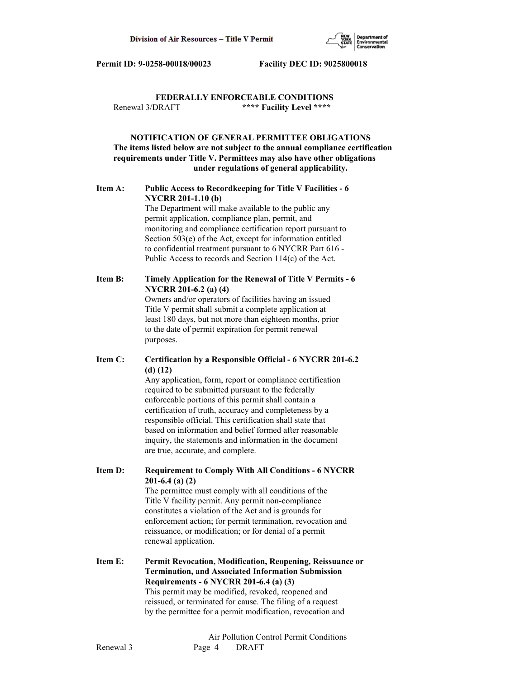

# **FEDERALLY ENFORCEABLE CONDITIONS** Renewal 3/DRAFT **\*\*\*\* Facility Level \*\*\*\***

# **NOTIFICATION OF GENERAL PERMITTEE OBLIGATIONS The items listed below are not subject to the annual compliance certification requirements under Title V. Permittees may also have other obligations under regulations of general applicability.**

# **Item A: Public Access to Recordkeeping for Title V Facilities - 6 NYCRR 201-1.10 (b)**

 The Department will make available to the public any permit application, compliance plan, permit, and monitoring and compliance certification report pursuant to Section 503(e) of the Act, except for information entitled to confidential treatment pursuant to 6 NYCRR Part 616 - Public Access to records and Section 114(c) of the Act.

# **Item B: Timely Application for the Renewal of Title V Permits - 6 NYCRR 201-6.2 (a) (4)**

 Owners and/or operators of facilities having an issued Title V permit shall submit a complete application at least 180 days, but not more than eighteen months, prior to the date of permit expiration for permit renewal purposes.

# **Item C: Certification by a Responsible Official - 6 NYCRR 201-6.2 (d) (12)**

 Any application, form, report or compliance certification required to be submitted pursuant to the federally enforceable portions of this permit shall contain a certification of truth, accuracy and completeness by a responsible official. This certification shall state that based on information and belief formed after reasonable inquiry, the statements and information in the document are true, accurate, and complete.

**Item D: Requirement to Comply With All Conditions - 6 NYCRR 201-6.4 (a) (2)**

 The permittee must comply with all conditions of the Title V facility permit. Any permit non-compliance constitutes a violation of the Act and is grounds for enforcement action; for permit termination, revocation and reissuance, or modification; or for denial of a permit renewal application.

**Item E: Permit Revocation, Modification, Reopening, Reissuance or Termination, and Associated Information Submission Requirements - 6 NYCRR 201-6.4 (a) (3)** This permit may be modified, revoked, reopened and reissued, or terminated for cause. The filing of a request by the permittee for a permit modification, revocation and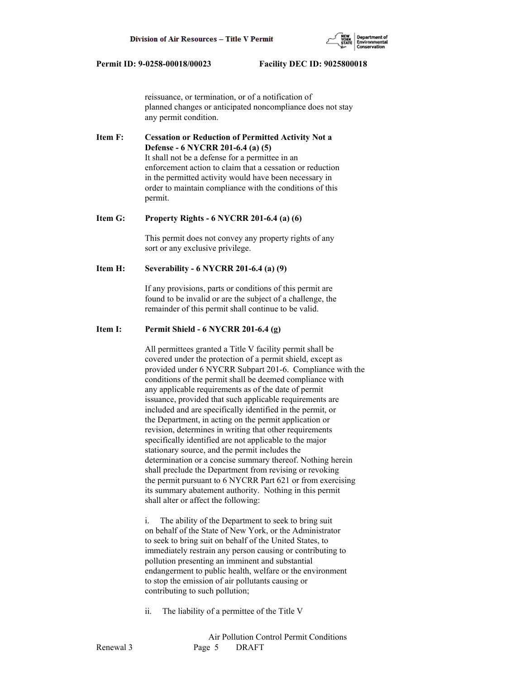

 reissuance, or termination, or of a notification of planned changes or anticipated noncompliance does not stay any permit condition.

**Item F: Cessation or Reduction of Permitted Activity Not a Defense - 6 NYCRR 201-6.4 (a) (5)** It shall not be a defense for a permittee in an enforcement action to claim that a cessation or reduction in the permitted activity would have been necessary in order to maintain compliance with the conditions of this permit.

#### **Item G: Property Rights - 6 NYCRR 201-6.4 (a) (6)**

 This permit does not convey any property rights of any sort or any exclusive privilege.

## **Item H: Severability - 6 NYCRR 201-6.4 (a) (9)**

 If any provisions, parts or conditions of this permit are found to be invalid or are the subject of a challenge, the remainder of this permit shall continue to be valid.

# **Item I: Permit Shield - 6 NYCRR 201-6.4 (g)**

 All permittees granted a Title V facility permit shall be covered under the protection of a permit shield, except as provided under 6 NYCRR Subpart 201-6. Compliance with the conditions of the permit shall be deemed compliance with any applicable requirements as of the date of permit issuance, provided that such applicable requirements are included and are specifically identified in the permit, or the Department, in acting on the permit application or revision, determines in writing that other requirements specifically identified are not applicable to the major stationary source, and the permit includes the determination or a concise summary thereof. Nothing herein shall preclude the Department from revising or revoking the permit pursuant to 6 NYCRR Part 621 or from exercising its summary abatement authority. Nothing in this permit shall alter or affect the following:

 i. The ability of the Department to seek to bring suit on behalf of the State of New York, or the Administrator to seek to bring suit on behalf of the United States, to immediately restrain any person causing or contributing to pollution presenting an imminent and substantial endangerment to public health, welfare or the environment to stop the emission of air pollutants causing or contributing to such pollution;

ii. The liability of a permittee of the Title V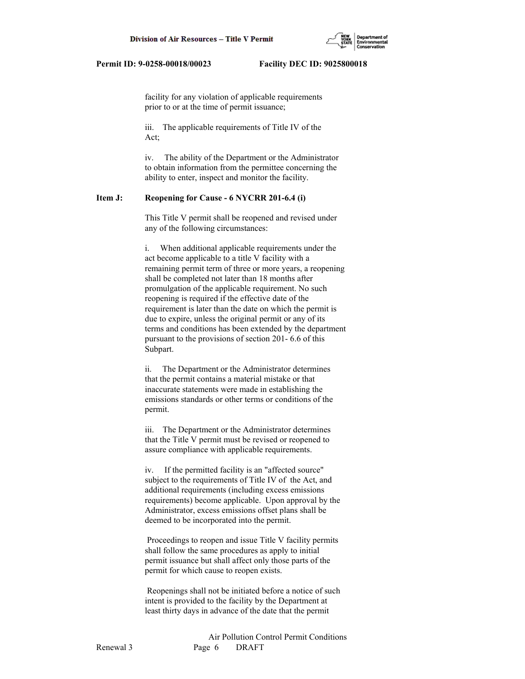

 facility for any violation of applicable requirements prior to or at the time of permit issuance;

 iii. The applicable requirements of Title IV of the Act;

 iv. The ability of the Department or the Administrator to obtain information from the permittee concerning the ability to enter, inspect and monitor the facility.

## **Item J: Reopening for Cause - 6 NYCRR 201-6.4 (i)**

 This Title V permit shall be reopened and revised under any of the following circumstances:

 i. When additional applicable requirements under the act become applicable to a title V facility with a remaining permit term of three or more years, a reopening shall be completed not later than 18 months after promulgation of the applicable requirement. No such reopening is required if the effective date of the requirement is later than the date on which the permit is due to expire, unless the original permit or any of its terms and conditions has been extended by the department pursuant to the provisions of section 201- 6.6 of this Subpart.

 ii. The Department or the Administrator determines that the permit contains a material mistake or that inaccurate statements were made in establishing the emissions standards or other terms or conditions of the permit.

 iii. The Department or the Administrator determines that the Title V permit must be revised or reopened to assure compliance with applicable requirements.

 iv. If the permitted facility is an "affected source" subject to the requirements of Title IV of the Act, and additional requirements (including excess emissions requirements) become applicable. Upon approval by the Administrator, excess emissions offset plans shall be deemed to be incorporated into the permit.

 Proceedings to reopen and issue Title V facility permits shall follow the same procedures as apply to initial permit issuance but shall affect only those parts of the permit for which cause to reopen exists.

 Reopenings shall not be initiated before a notice of such intent is provided to the facility by the Department at least thirty days in advance of the date that the permit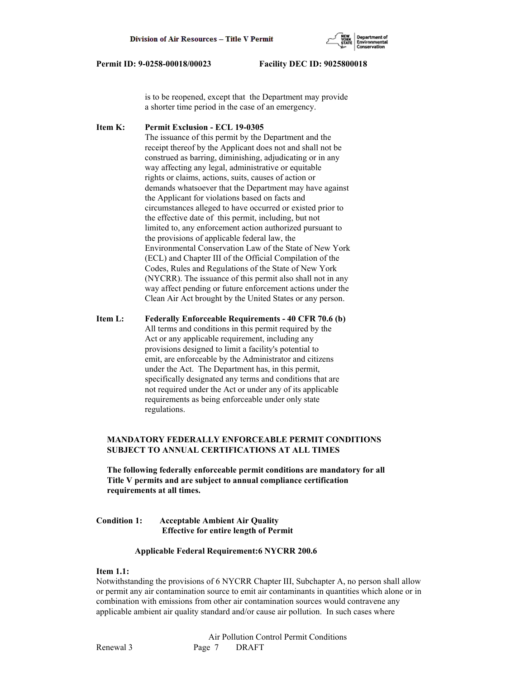

 is to be reopened, except that the Department may provide a shorter time period in the case of an emergency.

**Item K: Permit Exclusion - ECL 19-0305** The issuance of this permit by the Department and the receipt thereof by the Applicant does not and shall not be construed as barring, diminishing, adjudicating or in any way affecting any legal, administrative or equitable rights or claims, actions, suits, causes of action or demands whatsoever that the Department may have against the Applicant for violations based on facts and circumstances alleged to have occurred or existed prior to the effective date of this permit, including, but not limited to, any enforcement action authorized pursuant to the provisions of applicable federal law, the Environmental Conservation Law of the State of New York (ECL) and Chapter III of the Official Compilation of the Codes, Rules and Regulations of the State of New York (NYCRR). The issuance of this permit also shall not in any way affect pending or future enforcement actions under the Clean Air Act brought by the United States or any person.

**Item L: Federally Enforceable Requirements - 40 CFR 70.6 (b)** All terms and conditions in this permit required by the Act or any applicable requirement, including any provisions designed to limit a facility's potential to emit, are enforceable by the Administrator and citizens under the Act. The Department has, in this permit, specifically designated any terms and conditions that are not required under the Act or under any of its applicable requirements as being enforceable under only state regulations.

# **MANDATORY FEDERALLY ENFORCEABLE PERMIT CONDITIONS SUBJECT TO ANNUAL CERTIFICATIONS AT ALL TIMES**

 **The following federally enforceable permit conditions are mandatory for all Title V permits and are subject to annual compliance certification requirements at all times.**

# **Condition 1: Acceptable Ambient Air Quality Effective for entire length of Permit**

## **Applicable Federal Requirement:6 NYCRR 200.6**

## **Item 1.1:**

Notwithstanding the provisions of 6 NYCRR Chapter III, Subchapter A, no person shall allow or permit any air contamination source to emit air contaminants in quantities which alone or in combination with emissions from other air contamination sources would contravene any applicable ambient air quality standard and/or cause air pollution. In such cases where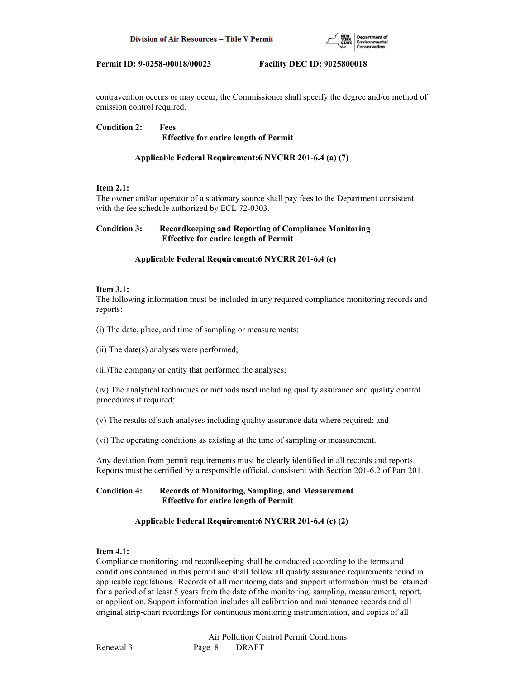

contravention occurs or may occur, the Commissioner shall specify the degree and/or method of emission control required.

**Condition 2: Fees Effective for entire length of Permit**

# **Applicable Federal Requirement:6 NYCRR 201-6.4 (a) (7)**

## **Item 2.1:**

The owner and/or operator of a stationary source shall pay fees to the Department consistent with the fee schedule authorized by ECL 72-0303.

# **Condition 3: Recordkeeping and Reporting of Compliance Monitoring Effective for entire length of Permit**

## **Applicable Federal Requirement:6 NYCRR 201-6.4 (c)**

## **Item 3.1:**

The following information must be included in any required compliance monitoring records and reports:

(i) The date, place, and time of sampling or measurements;

(ii) The date(s) analyses were performed;

(iii)The company or entity that performed the analyses;

(iv) The analytical techniques or methods used including quality assurance and quality control procedures if required;

(v) The results of such analyses including quality assurance data where required; and

(vi) The operating conditions as existing at the time of sampling or measurement.

Any deviation from permit requirements must be clearly identified in all records and reports. Reports must be certified by a responsible official, consistent with Section 201-6.2 of Part 201.

# **Condition 4: Records of Monitoring, Sampling, and Measurement Effective for entire length of Permit**

# **Applicable Federal Requirement:6 NYCRR 201-6.4 (c) (2)**

# **Item 4.1:**

Compliance monitoring and recordkeeping shall be conducted according to the terms and conditions contained in this permit and shall follow all quality assurance requirements found in applicable regulations. Records of all monitoring data and support information must be retained for a period of at least 5 years from the date of the monitoring, sampling, measurement, report, or application. Support information includes all calibration and maintenance records and all original strip-chart recordings for continuous monitoring instrumentation, and copies of all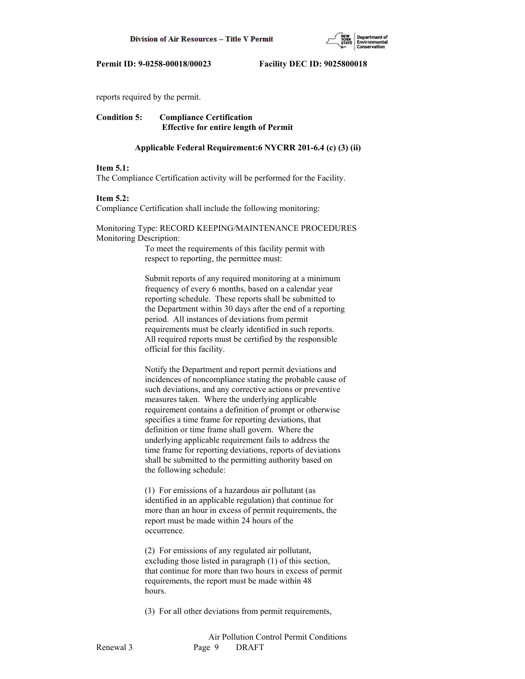

reports required by the permit.

**Condition 5: Compliance Certification Effective for entire length of Permit**

### **Applicable Federal Requirement:6 NYCRR 201-6.4 (c) (3) (ii)**

#### **Item 5.1:**

The Compliance Certification activity will be performed for the Facility.

#### **Item 5.2:**

Compliance Certification shall include the following monitoring:

Monitoring Type: RECORD KEEPING/MAINTENANCE PROCEDURES Monitoring Description:

> To meet the requirements of this facility permit with respect to reporting, the permittee must:

 Submit reports of any required monitoring at a minimum frequency of every 6 months, based on a calendar year reporting schedule. These reports shall be submitted to the Department within 30 days after the end of a reporting period. All instances of deviations from permit requirements must be clearly identified in such reports. All required reports must be certified by the responsible official for this facility.

 Notify the Department and report permit deviations and incidences of noncompliance stating the probable cause of such deviations, and any corrective actions or preventive measures taken. Where the underlying applicable requirement contains a definition of prompt or otherwise specifies a time frame for reporting deviations, that definition or time frame shall govern. Where the underlying applicable requirement fails to address the time frame for reporting deviations, reports of deviations shall be submitted to the permitting authority based on the following schedule:

 (1) For emissions of a hazardous air pollutant (as identified in an applicable regulation) that continue for more than an hour in excess of permit requirements, the report must be made within 24 hours of the occurrence.

 (2) For emissions of any regulated air pollutant, excluding those listed in paragraph (1) of this section, that continue for more than two hours in excess of permit requirements, the report must be made within 48 hours.

(3) For all other deviations from permit requirements,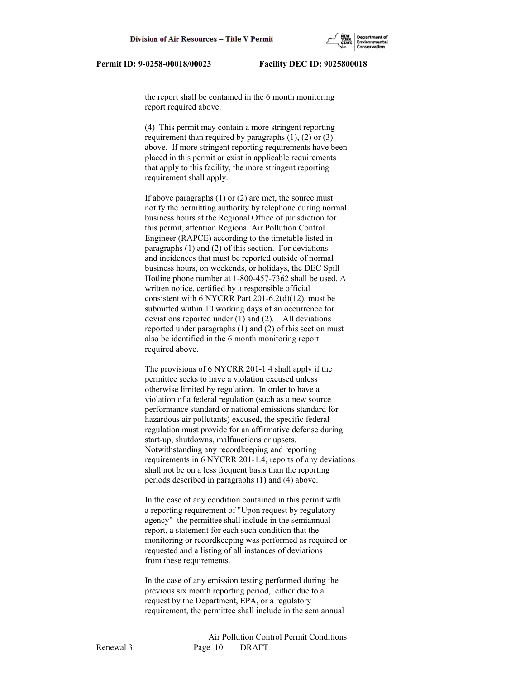the report shall be contained in the 6 month monitoring report required above.

 (4) This permit may contain a more stringent reporting requirement than required by paragraphs  $(1)$ ,  $(2)$  or  $(3)$  above. If more stringent reporting requirements have been placed in this permit or exist in applicable requirements that apply to this facility, the more stringent reporting requirement shall apply.

 If above paragraphs (1) or (2) are met, the source must notify the permitting authority by telephone during normal business hours at the Regional Office of jurisdiction for this permit, attention Regional Air Pollution Control Engineer (RAPCE) according to the timetable listed in paragraphs (1) and (2) of this section. For deviations and incidences that must be reported outside of normal business hours, on weekends, or holidays, the DEC Spill Hotline phone number at 1-800-457-7362 shall be used. A written notice, certified by a responsible official consistent with 6 NYCRR Part 201-6.2(d)(12), must be submitted within 10 working days of an occurrence for deviations reported under (1) and (2). All deviations reported under paragraphs (1) and (2) of this section must also be identified in the 6 month monitoring report required above.

 The provisions of 6 NYCRR 201-1.4 shall apply if the permittee seeks to have a violation excused unless otherwise limited by regulation. In order to have a violation of a federal regulation (such as a new source performance standard or national emissions standard for hazardous air pollutants) excused, the specific federal regulation must provide for an affirmative defense during start-up, shutdowns, malfunctions or upsets. Notwithstanding any recordkeeping and reporting requirements in 6 NYCRR 201-1.4, reports of any deviations shall not be on a less frequent basis than the reporting periods described in paragraphs (1) and (4) above.

 In the case of any condition contained in this permit with a reporting requirement of "Upon request by regulatory agency" the permittee shall include in the semiannual report, a statement for each such condition that the monitoring or recordkeeping was performed as required or requested and a listing of all instances of deviations from these requirements.

 In the case of any emission testing performed during the previous six month reporting period, either due to a request by the Department, EPA, or a regulatory requirement, the permittee shall include in the semiannual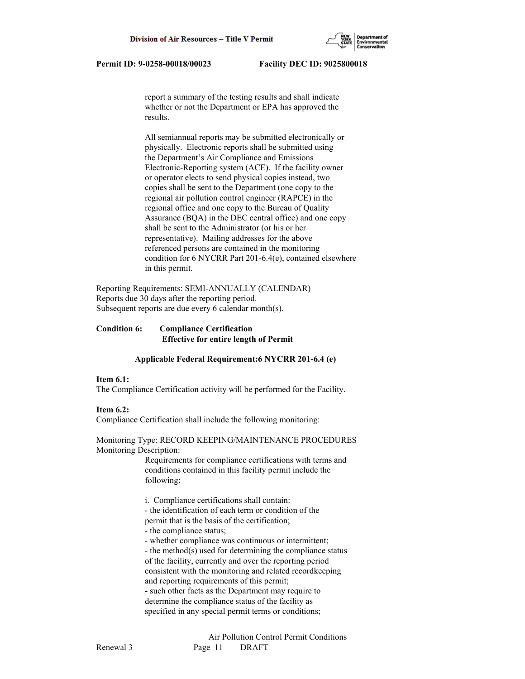report a summary of the testing results and shall indicate whether or not the Department or EPA has approved the results.

 All semiannual reports may be submitted electronically or physically. Electronic reports shall be submitted using the Department's Air Compliance and Emissions Electronic-Reporting system (ACE). If the facility owner or operator elects to send physical copies instead, two copies shall be sent to the Department (one copy to the regional air pollution control engineer (RAPCE) in the regional office and one copy to the Bureau of Quality Assurance (BQA) in the DEC central office) and one copy shall be sent to the Administrator (or his or her representative). Mailing addresses for the above referenced persons are contained in the monitoring condition for 6 NYCRR Part 201-6.4(e), contained elsewhere in this permit.

Reporting Requirements: SEMI-ANNUALLY (CALENDAR) Reports due 30 days after the reporting period. Subsequent reports are due every 6 calendar month(s).

# **Condition 6: Compliance Certification Effective for entire length of Permit**

## **Applicable Federal Requirement:6 NYCRR 201-6.4 (e)**

#### **Item 6.1:**

The Compliance Certification activity will be performed for the Facility.

## **Item 6.2:**

Compliance Certification shall include the following monitoring:

#### Monitoring Type: RECORD KEEPING/MAINTENANCE PROCEDURES Monitoring Description:

 Requirements for compliance certifications with terms and conditions contained in this facility permit include the following:

i. Compliance certifications shall contain:

- the identification of each term or condition of the

permit that is the basis of the certification;

- the compliance status;

- whether compliance was continuous or intermittent;

 - the method(s) used for determining the compliance status of the facility, currently and over the reporting period consistent with the monitoring and related recordkeeping and reporting requirements of this permit; - such other facts as the Department may require to determine the compliance status of the facility as specified in any special permit terms or conditions;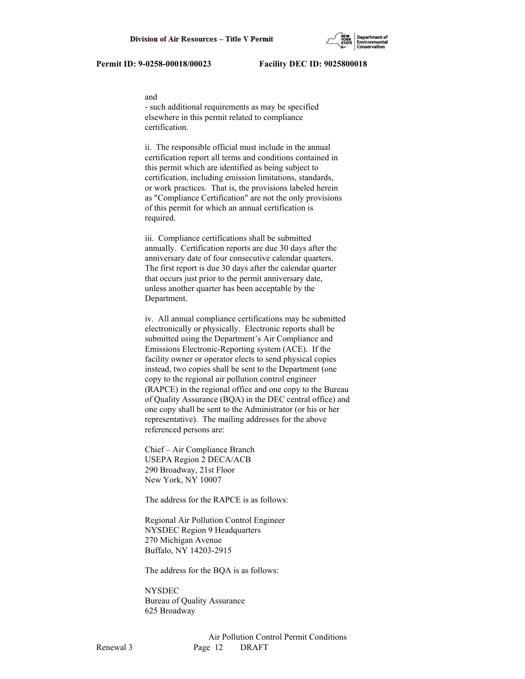#### and

 - such additional requirements as may be specified elsewhere in this permit related to compliance certification.

 ii. The responsible official must include in the annual certification report all terms and conditions contained in this permit which are identified as being subject to certification, including emission limitations, standards, or work practices. That is, the provisions labeled herein as "Compliance Certification" are not the only provisions of this permit for which an annual certification is required.

 iii. Compliance certifications shall be submitted annually. Certification reports are due 30 days after the anniversary date of four consecutive calendar quarters. The first report is due 30 days after the calendar quarter that occurs just prior to the permit anniversary date, unless another quarter has been acceptable by the Department.

 iv. All annual compliance certifications may be submitted electronically or physically. Electronic reports shall be submitted using the Department's Air Compliance and Emissions Electronic-Reporting system (ACE). If the facility owner or operator elects to send physical copies instead, two copies shall be sent to the Department (one copy to the regional air pollution control engineer (RAPCE) in the regional office and one copy to the Bureau of Quality Assurance (BQA) in the DEC central office) and one copy shall be sent to the Administrator (or his or her representative). The mailing addresses for the above referenced persons are:

 Chief – Air Compliance Branch USEPA Region 2 DECA/ACB 290 Broadway, 21st Floor New York, NY 10007

The address for the RAPCE is as follows:

 Regional Air Pollution Control Engineer NYSDEC Region 9 Headquarters 270 Michigan Avenue Buffalo, NY 14203-2915

The address for the BQA is as follows:

 NYSDEC Bureau of Quality Assurance 625 Broadway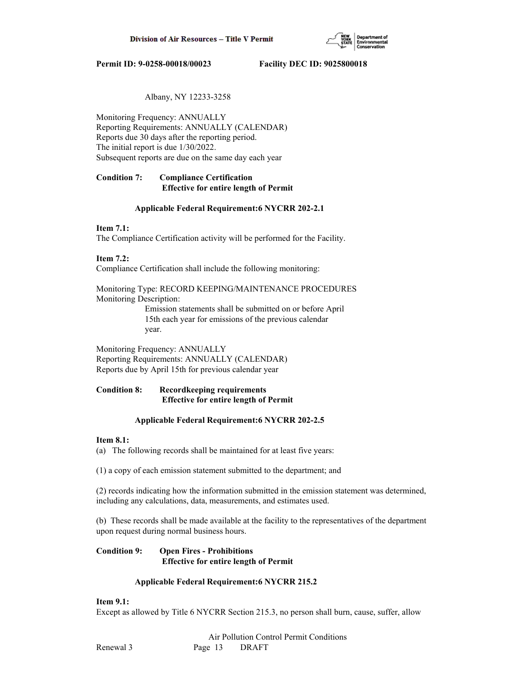

# Albany, NY 12233-3258

Monitoring Frequency: ANNUALLY Reporting Requirements: ANNUALLY (CALENDAR) Reports due 30 days after the reporting period. The initial report is due 1/30/2022. Subsequent reports are due on the same day each year

# **Condition 7: Compliance Certification Effective for entire length of Permit**

## **Applicable Federal Requirement:6 NYCRR 202-2.1**

## **Item 7.1:**

The Compliance Certification activity will be performed for the Facility.

## **Item 7.2:**

Compliance Certification shall include the following monitoring:

Monitoring Type: RECORD KEEPING/MAINTENANCE PROCEDURES Monitoring Description:

> Emission statements shall be submitted on or before April 15th each year for emissions of the previous calendar year.

Monitoring Frequency: ANNUALLY Reporting Requirements: ANNUALLY (CALENDAR) Reports due by April 15th for previous calendar year

# **Condition 8: Recordkeeping requirements Effective for entire length of Permit**

## **Applicable Federal Requirement:6 NYCRR 202-2.5**

## **Item 8.1:**

(a) The following records shall be maintained for at least five years:

(1) a copy of each emission statement submitted to the department; and

(2) records indicating how the information submitted in the emission statement was determined, including any calculations, data, measurements, and estimates used.

(b) These records shall be made available at the facility to the representatives of the department upon request during normal business hours.

## **Condition 9: Open Fires - Prohibitions Effective for entire length of Permit**

## **Applicable Federal Requirement:6 NYCRR 215.2**

## **Item 9.1:**

Except as allowed by Title 6 NYCRR Section 215.3, no person shall burn, cause, suffer, allow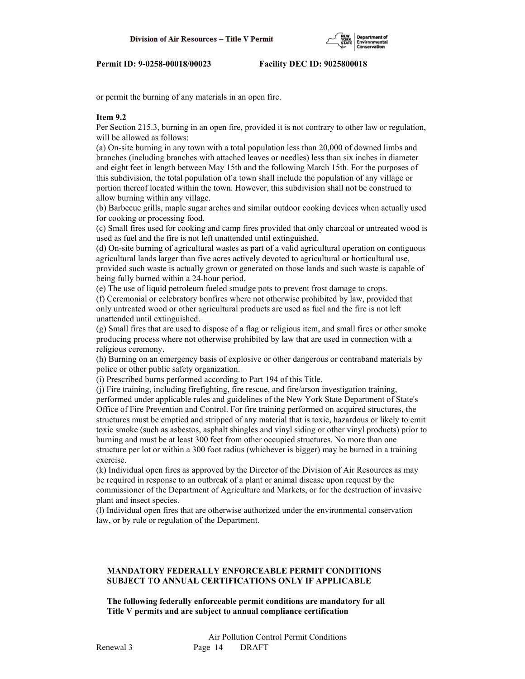or permit the burning of any materials in an open fire.

### **Item 9.2**

Per Section 215.3, burning in an open fire, provided it is not contrary to other law or regulation, will be allowed as follows:

(a) On-site burning in any town with a total population less than 20,000 of downed limbs and branches (including branches with attached leaves or needles) less than six inches in diameter and eight feet in length between May 15th and the following March 15th. For the purposes of this subdivision, the total population of a town shall include the population of any village or portion thereof located within the town. However, this subdivision shall not be construed to allow burning within any village.

(b) Barbecue grills, maple sugar arches and similar outdoor cooking devices when actually used for cooking or processing food.

(c) Small fires used for cooking and camp fires provided that only charcoal or untreated wood is used as fuel and the fire is not left unattended until extinguished.

(d) On-site burning of agricultural wastes as part of a valid agricultural operation on contiguous agricultural lands larger than five acres actively devoted to agricultural or horticultural use,

provided such waste is actually grown or generated on those lands and such waste is capable of being fully burned within a 24-hour period.

(e) The use of liquid petroleum fueled smudge pots to prevent frost damage to crops.

(f) Ceremonial or celebratory bonfires where not otherwise prohibited by law, provided that only untreated wood or other agricultural products are used as fuel and the fire is not left unattended until extinguished.

(g) Small fires that are used to dispose of a flag or religious item, and small fires or other smoke producing process where not otherwise prohibited by law that are used in connection with a religious ceremony.

(h) Burning on an emergency basis of explosive or other dangerous or contraband materials by police or other public safety organization.

(i) Prescribed burns performed according to Part 194 of this Title.

(j) Fire training, including firefighting, fire rescue, and fire/arson investigation training, performed under applicable rules and guidelines of the New York State Department of State's Office of Fire Prevention and Control. For fire training performed on acquired structures, the structures must be emptied and stripped of any material that is toxic, hazardous or likely to emit toxic smoke (such as asbestos, asphalt shingles and vinyl siding or other vinyl products) prior to burning and must be at least 300 feet from other occupied structures. No more than one structure per lot or within a 300 foot radius (whichever is bigger) may be burned in a training exercise.

(k) Individual open fires as approved by the Director of the Division of Air Resources as may be required in response to an outbreak of a plant or animal disease upon request by the commissioner of the Department of Agriculture and Markets, or for the destruction of invasive plant and insect species.

(l) Individual open fires that are otherwise authorized under the environmental conservation law, or by rule or regulation of the Department.

# **MANDATORY FEDERALLY ENFORCEABLE PERMIT CONDITIONS SUBJECT TO ANNUAL CERTIFICATIONS ONLY IF APPLICABLE**

 **The following federally enforceable permit conditions are mandatory for all Title V permits and are subject to annual compliance certification**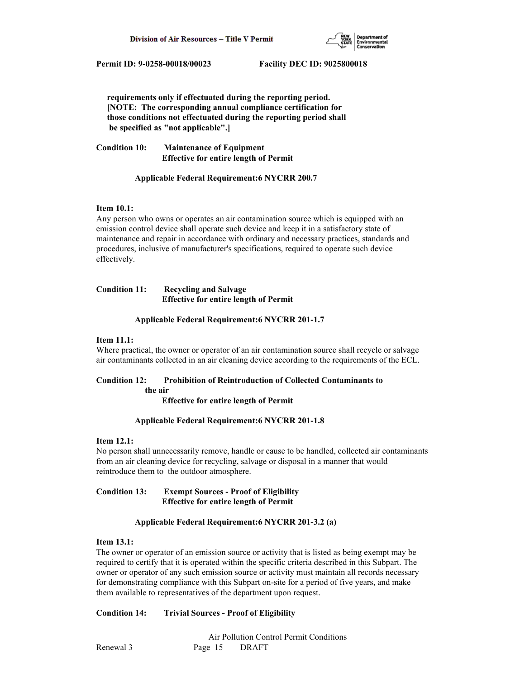

 **requirements only if effectuated during the reporting period. [NOTE: The corresponding annual compliance certification for those conditions not effectuated during the reporting period shall be specified as "not applicable".]**

**Condition 10: Maintenance of Equipment Effective for entire length of Permit**

## **Applicable Federal Requirement:6 NYCRR 200.7**

## **Item 10.1:**

Any person who owns or operates an air contamination source which is equipped with an emission control device shall operate such device and keep it in a satisfactory state of maintenance and repair in accordance with ordinary and necessary practices, standards and procedures, inclusive of manufacturer's specifications, required to operate such device effectively.

# **Condition 11: Recycling and Salvage Effective for entire length of Permit**

## **Applicable Federal Requirement:6 NYCRR 201-1.7**

## **Item 11.1:**

Where practical, the owner or operator of an air contamination source shall recycle or salvage air contaminants collected in an air cleaning device according to the requirements of the ECL.

# **Condition 12: Prohibition of Reintroduction of Collected Contaminants to the air**

 **Effective for entire length of Permit**

## **Applicable Federal Requirement:6 NYCRR 201-1.8**

## **Item 12.1:**

No person shall unnecessarily remove, handle or cause to be handled, collected air contaminants from an air cleaning device for recycling, salvage or disposal in a manner that would reintroduce them to the outdoor atmosphere.

## **Condition 13: Exempt Sources - Proof of Eligibility Effective for entire length of Permit**

## **Applicable Federal Requirement:6 NYCRR 201-3.2 (a)**

## **Item 13.1:**

The owner or operator of an emission source or activity that is listed as being exempt may be required to certify that it is operated within the specific criteria described in this Subpart. The owner or operator of any such emission source or activity must maintain all records necessary for demonstrating compliance with this Subpart on-site for a period of five years, and make them available to representatives of the department upon request.

## **Condition 14: Trivial Sources - Proof of Eligibility**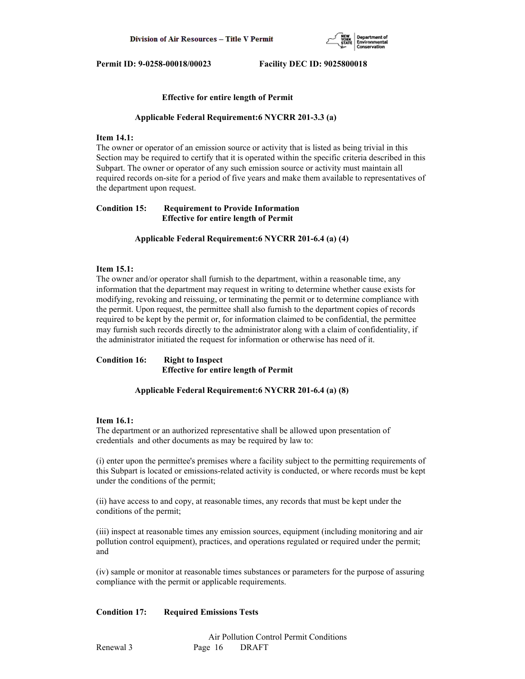

### **Effective for entire length of Permit**

#### **Applicable Federal Requirement:6 NYCRR 201-3.3 (a)**

#### **Item 14.1:**

The owner or operator of an emission source or activity that is listed as being trivial in this Section may be required to certify that it is operated within the specific criteria described in this Subpart. The owner or operator of any such emission source or activity must maintain all required records on-site for a period of five years and make them available to representatives of the department upon request.

## **Condition 15: Requirement to Provide Information Effective for entire length of Permit**

#### **Applicable Federal Requirement:6 NYCRR 201-6.4 (a) (4)**

#### **Item 15.1:**

The owner and/or operator shall furnish to the department, within a reasonable time, any information that the department may request in writing to determine whether cause exists for modifying, revoking and reissuing, or terminating the permit or to determine compliance with the permit. Upon request, the permittee shall also furnish to the department copies of records required to be kept by the permit or, for information claimed to be confidential, the permittee may furnish such records directly to the administrator along with a claim of confidentiality, if the administrator initiated the request for information or otherwise has need of it.

# **Condition 16: Right to Inspect Effective for entire length of Permit**

#### **Applicable Federal Requirement:6 NYCRR 201-6.4 (a) (8)**

#### **Item 16.1:**

The department or an authorized representative shall be allowed upon presentation of credentials and other documents as may be required by law to:

(i) enter upon the permittee's premises where a facility subject to the permitting requirements of this Subpart is located or emissions-related activity is conducted, or where records must be kept under the conditions of the permit;

(ii) have access to and copy, at reasonable times, any records that must be kept under the conditions of the permit;

(iii) inspect at reasonable times any emission sources, equipment (including monitoring and air pollution control equipment), practices, and operations regulated or required under the permit; and

(iv) sample or monitor at reasonable times substances or parameters for the purpose of assuring compliance with the permit or applicable requirements.

## **Condition 17: Required Emissions Tests**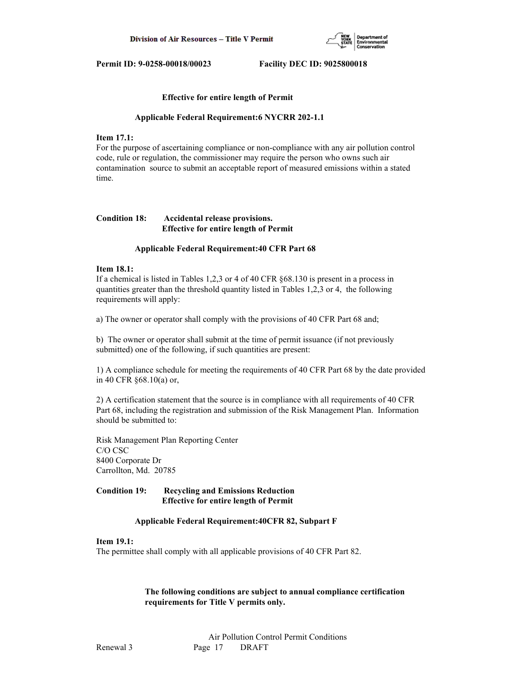

### **Effective for entire length of Permit**

#### **Applicable Federal Requirement:6 NYCRR 202-1.1**

## **Item 17.1:**

For the purpose of ascertaining compliance or non-compliance with any air pollution control code, rule or regulation, the commissioner may require the person who owns such air contamination source to submit an acceptable report of measured emissions within a stated time.

# **Condition 18: Accidental release provisions. Effective for entire length of Permit**

#### **Applicable Federal Requirement:40 CFR Part 68**

#### **Item 18.1:**

If a chemical is listed in Tables 1,2,3 or 4 of 40 CFR §68.130 is present in a process in quantities greater than the threshold quantity listed in Tables 1,2,3 or 4, the following requirements will apply:

a) The owner or operator shall comply with the provisions of 40 CFR Part 68 and;

b) The owner or operator shall submit at the time of permit issuance (if not previously submitted) one of the following, if such quantities are present:

1) A compliance schedule for meeting the requirements of 40 CFR Part 68 by the date provided in 40 CFR §68.10(a) or,

2) A certification statement that the source is in compliance with all requirements of 40 CFR Part 68, including the registration and submission of the Risk Management Plan. Information should be submitted to:

Risk Management Plan Reporting Center C/O CSC 8400 Corporate Dr Carrollton, Md. 20785

## **Condition 19: Recycling and Emissions Reduction Effective for entire length of Permit**

## **Applicable Federal Requirement:40CFR 82, Subpart F**

### **Item 19.1:**

The permittee shall comply with all applicable provisions of 40 CFR Part 82.

## **The following conditions are subject to annual compliance certification requirements for Title V permits only.**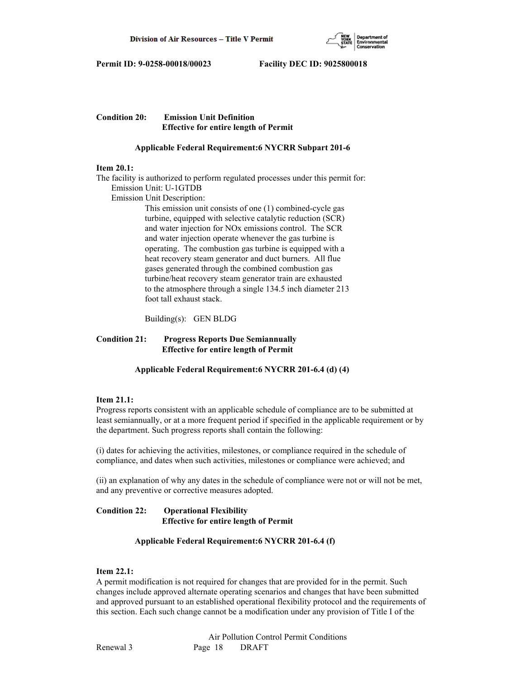

# **Condition 20: Emission Unit Definition Effective for entire length of Permit**

# **Applicable Federal Requirement:6 NYCRR Subpart 201-6**

## **Item 20.1:**

The facility is authorized to perform regulated processes under this permit for: Emission Unit: U-1GTDB

Emission Unit Description:

 This emission unit consists of one (1) combined-cycle gas turbine, equipped with selective catalytic reduction (SCR) and water injection for NOx emissions control. The SCR and water injection operate whenever the gas turbine is operating. The combustion gas turbine is equipped with a heat recovery steam generator and duct burners. All flue gases generated through the combined combustion gas turbine/heat recovery steam generator train are exhausted to the atmosphere through a single 134.5 inch diameter 213 foot tall exhaust stack.

Building(s): GEN BLDG

# **Condition 21: Progress Reports Due Semiannually Effective for entire length of Permit**

 **Applicable Federal Requirement:6 NYCRR 201-6.4 (d) (4)**

# **Item 21.1:**

Progress reports consistent with an applicable schedule of compliance are to be submitted at least semiannually, or at a more frequent period if specified in the applicable requirement or by the department. Such progress reports shall contain the following:

(i) dates for achieving the activities, milestones, or compliance required in the schedule of compliance, and dates when such activities, milestones or compliance were achieved; and

(ii) an explanation of why any dates in the schedule of compliance were not or will not be met, and any preventive or corrective measures adopted.

# **Condition 22: Operational Flexibility Effective for entire length of Permit**

# **Applicable Federal Requirement:6 NYCRR 201-6.4 (f)**

# **Item 22.1:**

A permit modification is not required for changes that are provided for in the permit. Such changes include approved alternate operating scenarios and changes that have been submitted and approved pursuant to an established operational flexibility protocol and the requirements of this section. Each such change cannot be a modification under any provision of Title I of the

 Air Pollution Control Permit Conditions Renewal 3 Page 18 DRAFT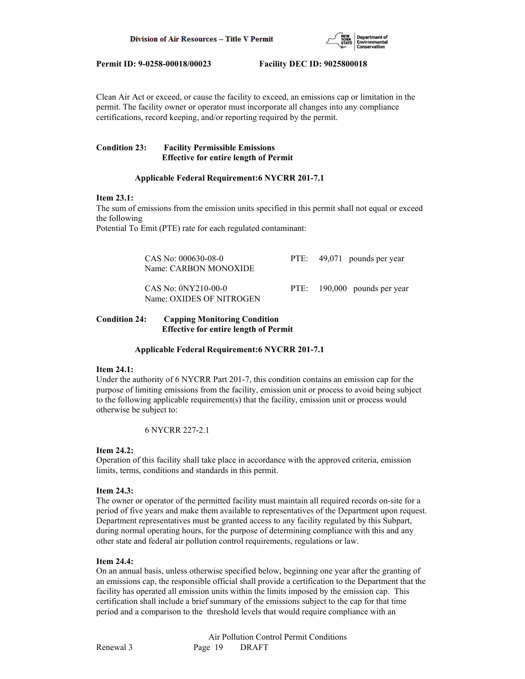

Clean Air Act or exceed, or cause the facility to exceed, an emissions cap or limitation in the permit. The facility owner or operator must incorporate all changes into any compliance certifications, record keeping, and/or reporting required by the permit.

# **Condition 23: Facility Permissible Emissions Effective for entire length of Permit**

## **Applicable Federal Requirement:6 NYCRR 201-7.1**

## **Item 23.1:**

The sum of emissions from the emission units specified in this permit shall not equal or exceed the following

Potential To Emit (PTE) rate for each regulated contaminant:

| CAS No: 000630-08-0<br>Name: CARBON MONOXIDE      | PTE: 49,071 pounds per year  |
|---------------------------------------------------|------------------------------|
| $CAS No: ONY210-00-0$<br>Name: OXIDES OF NITROGEN | PTE: 190,000 pounds per year |

# **Condition 24: Capping Monitoring Condition Effective for entire length of Permit**

 **Applicable Federal Requirement:6 NYCRR 201-7.1**

# **Item 24.1:**

Under the authority of 6 NYCRR Part 201-7, this condition contains an emission cap for the purpose of limiting emissions from the facility, emission unit or process to avoid being subject to the following applicable requirement(s) that the facility, emission unit or process would otherwise be subject to:

6 NYCRR 227-2.1

# **Item 24.2:**

Operation of this facility shall take place in accordance with the approved criteria, emission limits, terms, conditions and standards in this permit.

# **Item 24.3:**

The owner or operator of the permitted facility must maintain all required records on-site for a period of five years and make them available to representatives of the Department upon request. Department representatives must be granted access to any facility regulated by this Subpart, during normal operating hours, for the purpose of determining compliance with this and any other state and federal air pollution control requirements, regulations or law.

# **Item 24.4:**

On an annual basis, unless otherwise specified below, beginning one year after the granting of an emissions cap, the responsible official shall provide a certification to the Department that the facility has operated all emission units within the limits imposed by the emission cap. This certification shall include a brief summary of the emissions subject to the cap for that time period and a comparison to the threshold levels that would require compliance with an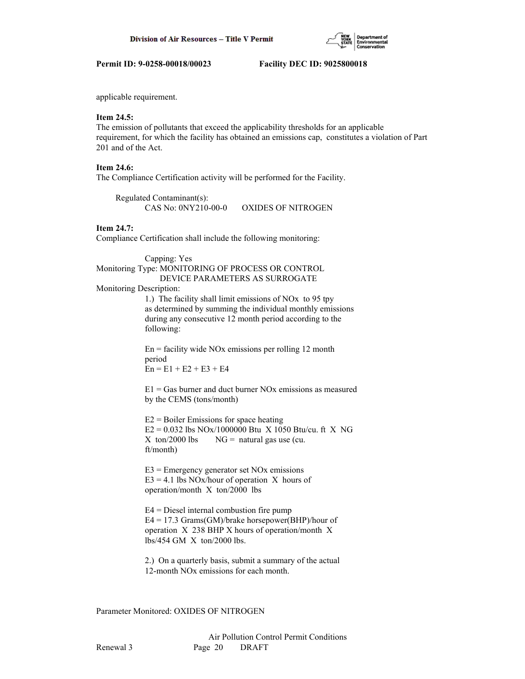

applicable requirement.

## **Item 24.5:**

The emission of pollutants that exceed the applicability thresholds for an applicable requirement, for which the facility has obtained an emissions cap, constitutes a violation of Part 201 and of the Act.

## **Item 24.6:**

The Compliance Certification activity will be performed for the Facility.

 Regulated Contaminant(s): CAS No: 0NY210-00-0 OXIDES OF NITROGEN

# **Item 24.7:**

Compliance Certification shall include the following monitoring:

 Capping: Yes Monitoring Type: MONITORING OF PROCESS OR CONTROL DEVICE PARAMETERS AS SURROGATE

#### Monitoring Description:

 1.) The facility shall limit emissions of NOx to 95 tpy as determined by summing the individual monthly emissions during any consecutive 12 month period according to the following:

 $En = facility$  wide NOx emissions per rolling 12 month period  $En = E1 + E2 + E3 + E4$ 

 $E1 = Gas$  burner and duct burner NOx emissions as measured by the CEMS (tons/month)

 $E2 =$  Boiler Emissions for space heating  $E2 = 0.032$  lbs NOx/1000000 Btu X 1050 Btu/cu. ft X NG  $X \text{ ton}/2000 \text{ lbs}$   $NG = \text{natural gas use (cu.}$ ft/month)

 $E3$  = Emergency generator set NOx emissions  $E3 = 4.1$  lbs NOx/hour of operation X hours of operation/month X ton/2000 lbs

 E4 = Diesel internal combustion fire pump  $E4 = 17.3$  Grams(GM)/brake horsepower(BHP)/hour of operation X 238 BHP X hours of operation/month X lbs/454 GM X ton/2000 lbs.

 2.) On a quarterly basis, submit a summary of the actual 12-month NOx emissions for each month.

Parameter Monitored: OXIDES OF NITROGEN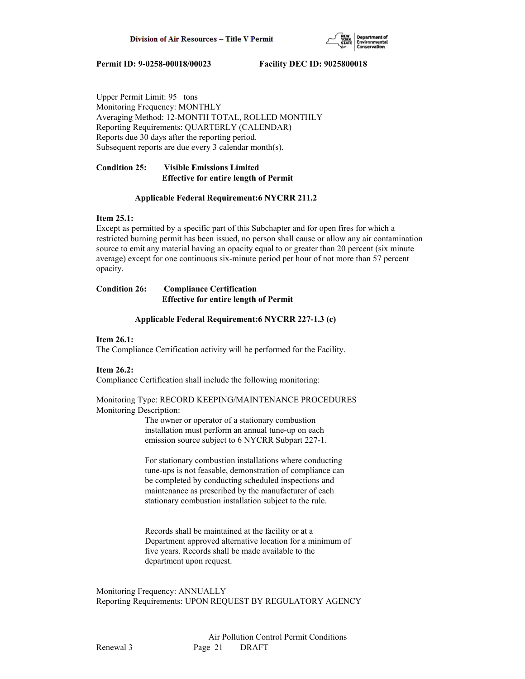

Upper Permit Limit: 95 tons Monitoring Frequency: MONTHLY Averaging Method: 12-MONTH TOTAL, ROLLED MONTHLY Reporting Requirements: QUARTERLY (CALENDAR) Reports due 30 days after the reporting period. Subsequent reports are due every 3 calendar month(s).

# **Condition 25: Visible Emissions Limited Effective for entire length of Permit**

## **Applicable Federal Requirement:6 NYCRR 211.2**

## **Item 25.1:**

Except as permitted by a specific part of this Subchapter and for open fires for which a restricted burning permit has been issued, no person shall cause or allow any air contamination source to emit any material having an opacity equal to or greater than 20 percent (six minute average) except for one continuous six-minute period per hour of not more than 57 percent opacity.

## **Condition 26: Compliance Certification Effective for entire length of Permit**

## **Applicable Federal Requirement:6 NYCRR 227-1.3 (c)**

# **Item 26.1:**

The Compliance Certification activity will be performed for the Facility.

## **Item 26.2:**

Compliance Certification shall include the following monitoring:

## Monitoring Type: RECORD KEEPING/MAINTENANCE PROCEDURES Monitoring Description:

 The owner or operator of a stationary combustion installation must perform an annual tune-up on each emission source subject to 6 NYCRR Subpart 227-1.

 For stationary combustion installations where conducting tune-ups is not feasable, demonstration of compliance can be completed by conducting scheduled inspections and maintenance as prescribed by the manufacturer of each stationary combustion installation subject to the rule.

 Records shall be maintained at the facility or at a Department approved alternative location for a minimum of five years. Records shall be made available to the department upon request.

Monitoring Frequency: ANNUALLY Reporting Requirements: UPON REQUEST BY REGULATORY AGENCY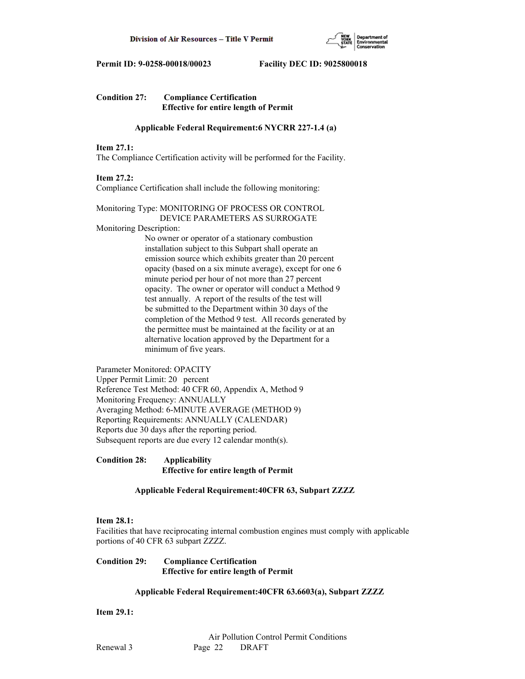

| <b>Condition 27:</b> | <b>Compliance Certification</b>              |  |  |
|----------------------|----------------------------------------------|--|--|
|                      | <b>Effective for entire length of Permit</b> |  |  |

## **Applicable Federal Requirement:6 NYCRR 227-1.4 (a)**

### **Item 27.1:**

The Compliance Certification activity will be performed for the Facility.

#### **Item 27.2:**

Compliance Certification shall include the following monitoring:

Monitoring Type: MONITORING OF PROCESS OR CONTROL DEVICE PARAMETERS AS SURROGATE

Monitoring Description:

 No owner or operator of a stationary combustion installation subject to this Subpart shall operate an emission source which exhibits greater than 20 percent opacity (based on a six minute average), except for one 6 minute period per hour of not more than 27 percent opacity. The owner or operator will conduct a Method 9 test annually. A report of the results of the test will be submitted to the Department within 30 days of the completion of the Method 9 test. All records generated by the permittee must be maintained at the facility or at an alternative location approved by the Department for a minimum of five years.

Parameter Monitored: OPACITY Upper Permit Limit: 20 percent Reference Test Method: 40 CFR 60, Appendix A, Method 9 Monitoring Frequency: ANNUALLY Averaging Method: 6-MINUTE AVERAGE (METHOD 9) Reporting Requirements: ANNUALLY (CALENDAR) Reports due 30 days after the reporting period. Subsequent reports are due every 12 calendar month(s).

**Condition 28: Applicability Effective for entire length of Permit**

## **Applicable Federal Requirement:40CFR 63, Subpart ZZZZ**

#### **Item 28.1:**

Facilities that have reciprocating internal combustion engines must comply with applicable portions of 40 CFR 63 subpart ZZZZ.

## **Condition 29: Compliance Certification Effective for entire length of Permit**

## **Applicable Federal Requirement:40CFR 63.6603(a), Subpart ZZZZ**

**Item 29.1:**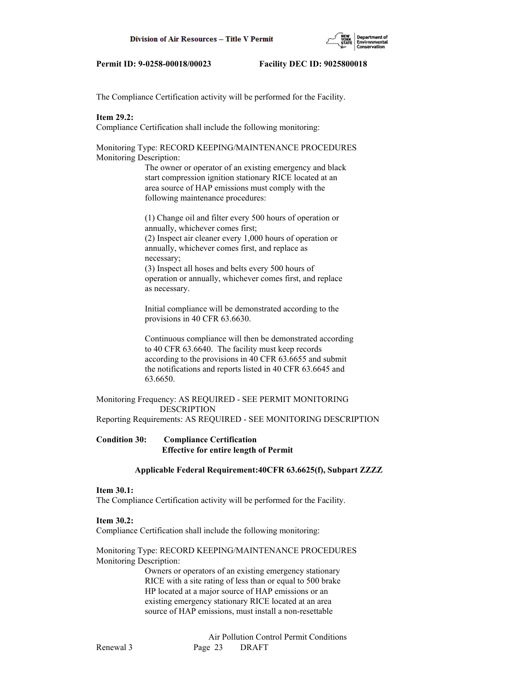

The Compliance Certification activity will be performed for the Facility.

## **Item 29.2:**

Compliance Certification shall include the following monitoring:

Monitoring Type: RECORD KEEPING/MAINTENANCE PROCEDURES Monitoring Description:

> The owner or operator of an existing emergency and black start compression ignition stationary RICE located at an area source of HAP emissions must comply with the following maintenance procedures:

 (1) Change oil and filter every 500 hours of operation or annually, whichever comes first; (2) Inspect air cleaner every 1,000 hours of operation or annually, whichever comes first, and replace as necessary; (3) Inspect all hoses and belts every 500 hours of

 operation or annually, whichever comes first, and replace as necessary.

 Initial compliance will be demonstrated according to the provisions in 40 CFR 63.6630.

 Continuous compliance will then be demonstrated according to 40 CFR 63.6640. The facility must keep records according to the provisions in 40 CFR 63.6655 and submit the notifications and reports listed in 40 CFR 63.6645 and 63.6650.

# Monitoring Frequency: AS REQUIRED - SEE PERMIT MONITORING DESCRIPTION

Reporting Requirements: AS REQUIRED - SEE MONITORING DESCRIPTION

## **Condition 30: Compliance Certification Effective for entire length of Permit**

## **Applicable Federal Requirement:40CFR 63.6625(f), Subpart ZZZZ**

## **Item 30.1:**

The Compliance Certification activity will be performed for the Facility.

## **Item 30.2:**

Compliance Certification shall include the following monitoring:

## Monitoring Type: RECORD KEEPING/MAINTENANCE PROCEDURES Monitoring Description:

 Owners or operators of an existing emergency stationary RICE with a site rating of less than or equal to 500 brake HP located at a major source of HAP emissions or an existing emergency stationary RICE located at an area source of HAP emissions, must install a non-resettable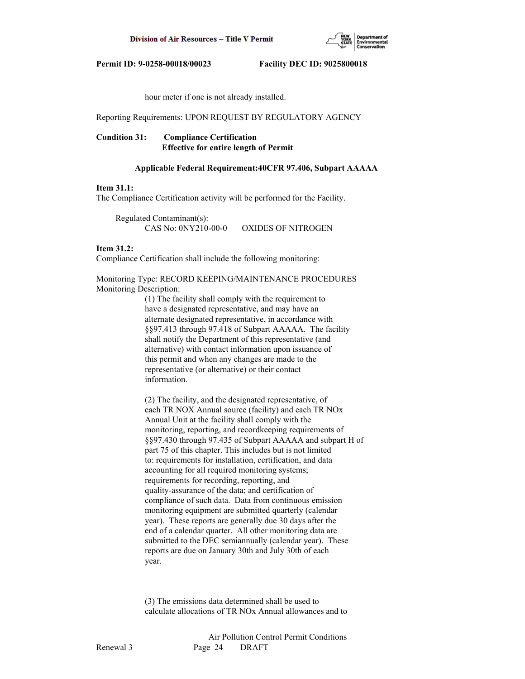

hour meter if one is not already installed.

Reporting Requirements: UPON REQUEST BY REGULATORY AGENCY

# **Condition 31: Compliance Certification Effective for entire length of Permit**

#### **Applicable Federal Requirement:40CFR 97.406, Subpart AAAAA**

## **Item 31.1:**

The Compliance Certification activity will be performed for the Facility.

 Regulated Contaminant(s): CAS No: 0NY210-00-0 OXIDES OF NITROGEN

### **Item 31.2:**

Compliance Certification shall include the following monitoring:

Monitoring Type: RECORD KEEPING/MAINTENANCE PROCEDURES Monitoring Description:

> (1) The facility shall comply with the requirement to have a designated representative, and may have an alternate designated representative, in accordance with §§97.413 through 97.418 of Subpart AAAAA. The facility shall notify the Department of this representative (and alternative) with contact information upon issuance of this permit and when any changes are made to the representative (or alternative) or their contact information.

 (2) The facility, and the designated representative, of each TR NOX Annual source (facility) and each TR NOx Annual Unit at the facility shall comply with the monitoring, reporting, and recordkeeping requirements of §§97.430 through 97.435 of Subpart AAAAA and subpart H of part 75 of this chapter. This includes but is not limited to: requirements for installation, certification, and data accounting for all required monitoring systems; requirements for recording, reporting, and quality-assurance of the data; and certification of compliance of such data. Data from continuous emission monitoring equipment are submitted quarterly (calendar year). These reports are generally due 30 days after the end of a calendar quarter. All other monitoring data are submitted to the DEC semiannually (calendar year). These reports are due on January 30th and July 30th of each year.

 (3) The emissions data determined shall be used to calculate allocations of TR NOx Annual allowances and to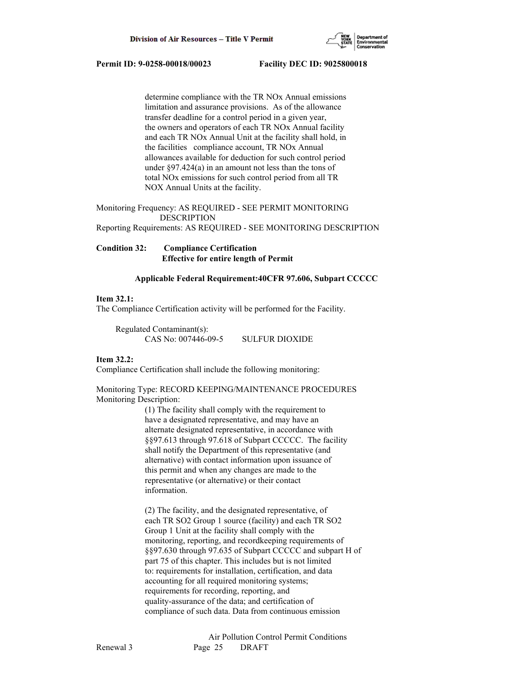

 determine compliance with the TR NOx Annual emissions limitation and assurance provisions. As of the allowance transfer deadline for a control period in a given year, the owners and operators of each TR NOx Annual facility and each TR NOx Annual Unit at the facility shall hold, in the facilities compliance account, TR NOx Annual allowances available for deduction for such control period under §97.424(a) in an amount not less than the tons of total NOx emissions for such control period from all TR NOX Annual Units at the facility.

Monitoring Frequency: AS REQUIRED - SEE PERMIT MONITORING DESCRIPTION

Reporting Requirements: AS REQUIRED - SEE MONITORING DESCRIPTION

**Condition 32: Compliance Certification Effective for entire length of Permit**

#### **Applicable Federal Requirement:40CFR 97.606, Subpart CCCCC**

## **Item 32.1:**

The Compliance Certification activity will be performed for the Facility.

 Regulated Contaminant(s): CAS No: 007446-09-5 SULFUR DIOXIDE

## **Item 32.2:**

Compliance Certification shall include the following monitoring:

Monitoring Type: RECORD KEEPING/MAINTENANCE PROCEDURES Monitoring Description:

> (1) The facility shall comply with the requirement to have a designated representative, and may have an alternate designated representative, in accordance with §§97.613 through 97.618 of Subpart CCCCC. The facility shall notify the Department of this representative (and alternative) with contact information upon issuance of this permit and when any changes are made to the representative (or alternative) or their contact information.

 (2) The facility, and the designated representative, of each TR SO2 Group 1 source (facility) and each TR SO2 Group 1 Unit at the facility shall comply with the monitoring, reporting, and recordkeeping requirements of §§97.630 through 97.635 of Subpart CCCCC and subpart H of part 75 of this chapter. This includes but is not limited to: requirements for installation, certification, and data accounting for all required monitoring systems; requirements for recording, reporting, and quality-assurance of the data; and certification of compliance of such data. Data from continuous emission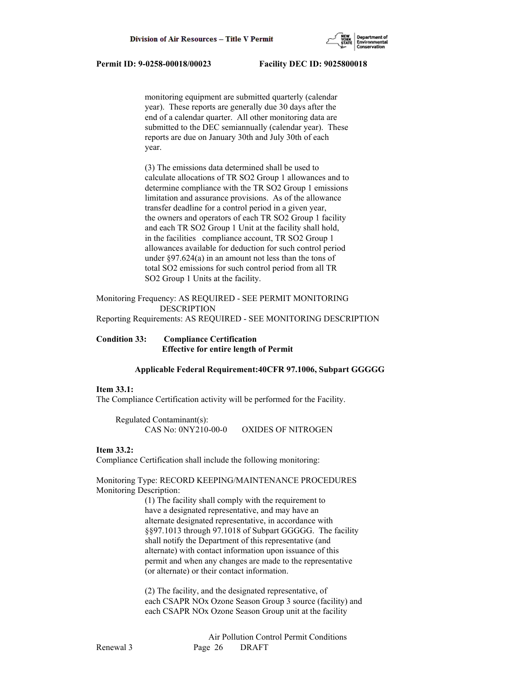

 monitoring equipment are submitted quarterly (calendar year). These reports are generally due 30 days after the end of a calendar quarter. All other monitoring data are submitted to the DEC semiannually (calendar year). These reports are due on January 30th and July 30th of each year.

 (3) The emissions data determined shall be used to calculate allocations of TR SO2 Group 1 allowances and to determine compliance with the TR SO2 Group 1 emissions limitation and assurance provisions. As of the allowance transfer deadline for a control period in a given year, the owners and operators of each TR SO2 Group 1 facility and each TR SO2 Group 1 Unit at the facility shall hold, in the facilities compliance account, TR SO2 Group 1 allowances available for deduction for such control period under §97.624(a) in an amount not less than the tons of total SO2 emissions for such control period from all TR SO2 Group 1 Units at the facility.

Monitoring Frequency: AS REQUIRED - SEE PERMIT MONITORING DESCRIPTION

Reporting Requirements: AS REQUIRED - SEE MONITORING DESCRIPTION

## **Condition 33: Compliance Certification Effective for entire length of Permit**

#### **Applicable Federal Requirement:40CFR 97.1006, Subpart GGGGG**

#### **Item 33.1:**

The Compliance Certification activity will be performed for the Facility.

 Regulated Contaminant(s): CAS No: 0NY210-00-0 OXIDES OF NITROGEN

#### **Item 33.2:**

Compliance Certification shall include the following monitoring:

## Monitoring Type: RECORD KEEPING/MAINTENANCE PROCEDURES Monitoring Description:

 (1) The facility shall comply with the requirement to have a designated representative, and may have an alternate designated representative, in accordance with §§97.1013 through 97.1018 of Subpart GGGGG. The facility shall notify the Department of this representative (and alternate) with contact information upon issuance of this permit and when any changes are made to the representative (or alternate) or their contact information.

 (2) The facility, and the designated representative, of each CSAPR NOx Ozone Season Group 3 source (facility) and each CSAPR NOx Ozone Season Group unit at the facility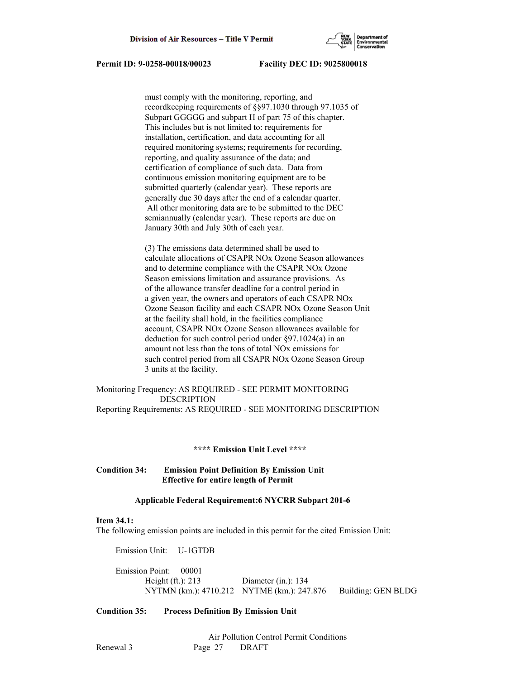

 must comply with the monitoring, reporting, and recordkeeping requirements of §§97.1030 through 97.1035 of Subpart GGGGG and subpart H of part 75 of this chapter. This includes but is not limited to: requirements for installation, certification, and data accounting for all required monitoring systems; requirements for recording, reporting, and quality assurance of the data; and certification of compliance of such data. Data from continuous emission monitoring equipment are to be submitted quarterly (calendar year). These reports are generally due 30 days after the end of a calendar quarter. All other monitoring data are to be submitted to the DEC semiannually (calendar year). These reports are due on January 30th and July 30th of each year.

 (3) The emissions data determined shall be used to calculate allocations of CSAPR NOx Ozone Season allowances and to determine compliance with the CSAPR NOx Ozone Season emissions limitation and assurance provisions. As of the allowance transfer deadline for a control period in a given year, the owners and operators of each CSAPR NOx Ozone Season facility and each CSAPR NOx Ozone Season Unit at the facility shall hold, in the facilities compliance account, CSAPR NOx Ozone Season allowances available for deduction for such control period under §97.1024(a) in an amount not less than the tons of total NOx emissions for such control period from all CSAPR NOx Ozone Season Group 3 units at the facility.

## Monitoring Frequency: AS REQUIRED - SEE PERMIT MONITORING DESCRIPTION Reporting Requirements: AS REQUIRED - SEE MONITORING DESCRIPTION

#### **\*\*\*\* Emission Unit Level \*\*\*\***

## **Condition 34: Emission Point Definition By Emission Unit Effective for entire length of Permit**

## **Applicable Federal Requirement:6 NYCRR Subpart 201-6**

#### **Item 34.1:**

The following emission points are included in this permit for the cited Emission Unit:

Emission Unit: U-1GTDB

 Emission Point: 00001 Height (ft.): 213 Diameter (in.): 134 NYTMN (km.): 4710.212 NYTME (km.): 247.876 Building: GEN BLDG

#### **Condition 35: Process Definition By Emission Unit**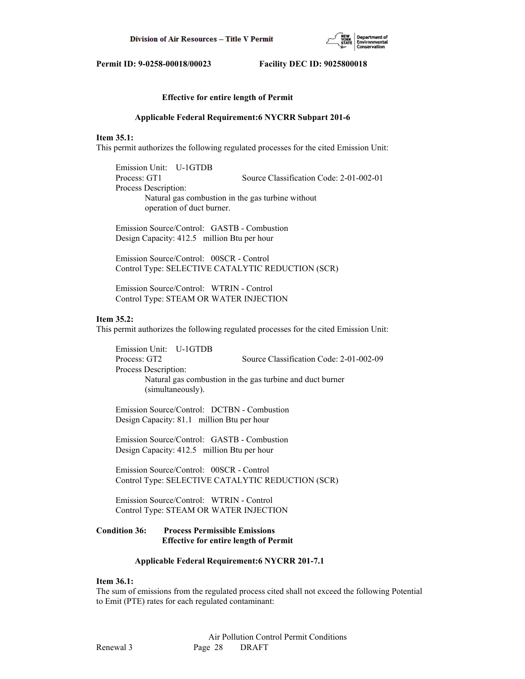

#### **Effective for entire length of Permit**

#### **Applicable Federal Requirement:6 NYCRR Subpart 201-6**

#### **Item 35.1:**

This permit authorizes the following regulated processes for the cited Emission Unit:

 Emission Unit: U-1GTDB Process: GT1 Source Classification Code: 2-01-002-01 Process Description: Natural gas combustion in the gas turbine without operation of duct burner.

 Emission Source/Control: GASTB - Combustion Design Capacity: 412.5 million Btu per hour

 Emission Source/Control: 00SCR - Control Control Type: SELECTIVE CATALYTIC REDUCTION (SCR)

 Emission Source/Control: WTRIN - Control Control Type: STEAM OR WATER INJECTION

#### **Item 35.2:**

This permit authorizes the following regulated processes for the cited Emission Unit:

 Emission Unit: U-1GTDB Process: GT2 Source Classification Code: 2-01-002-09 Process Description: Natural gas combustion in the gas turbine and duct burner (simultaneously).

 Emission Source/Control: DCTBN - Combustion Design Capacity: 81.1 million Btu per hour

 Emission Source/Control: GASTB - Combustion Design Capacity: 412.5 million Btu per hour

 Emission Source/Control: 00SCR - Control Control Type: SELECTIVE CATALYTIC REDUCTION (SCR)

 Emission Source/Control: WTRIN - Control Control Type: STEAM OR WATER INJECTION

## **Condition 36: Process Permissible Emissions Effective for entire length of Permit**

#### **Applicable Federal Requirement:6 NYCRR 201-7.1**

#### **Item 36.1:**

The sum of emissions from the regulated process cited shall not exceed the following Potential to Emit (PTE) rates for each regulated contaminant: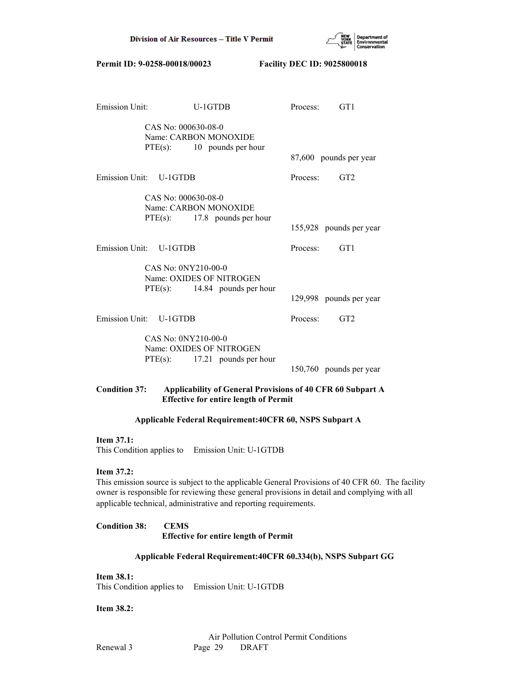

| <b>Emission Unit:</b>  |                                                 | U-1GTDB                                                     | Process:                | GT1                                                 |
|------------------------|-------------------------------------------------|-------------------------------------------------------------|-------------------------|-----------------------------------------------------|
|                        | CAS No: 000630-08-0                             | Name: CARBON MONOXIDE<br>$PTE(s):$ 10 pounds per hour       |                         | 87,600 pounds per year                              |
|                        |                                                 |                                                             |                         |                                                     |
| Emission Unit: U-1GTDB |                                                 |                                                             |                         | Process: GT2                                        |
|                        | CAS No: 000630-08-0                             | Name: CARBON MONOXIDE<br>$PTE(s):$ 17.8 pounds per hour     |                         | 155,928 pounds per year                             |
| Emission Unit: U-1GTDB |                                                 |                                                             |                         | Process: GT1                                        |
|                        | CAS No: 0NY210-00-0<br>Name: OXIDES OF NITROGEN |                                                             |                         |                                                     |
|                        | $PTE(s):$ 14.84 pounds per hour                 |                                                             | 129,998 pounds per year |                                                     |
| Emission Unit: U-1GTDB |                                                 |                                                             |                         | Process: GT2                                        |
|                        | CAS No: 0NY210-00-0                             | Name: OXIDES OF NITROGEN<br>$PTE(s):$ 17.21 pounds per hour |                         | 150,760 pounds per year                             |
|                        |                                                 | $\mathbf{r}$ is the set<br>$\mathbf{r}$                     | $\bullet$ $\bullet$     | $\sim$ 40 $\sim$ $\sim$ $\sim$ $\sim$ $\sim$ $\sim$ |

## **Condition 37: Applicability of General Provisions of 40 CFR 60 Subpart A Effective for entire length of Permit**

## **Applicable Federal Requirement:40CFR 60, NSPS Subpart A**

## **Item 37.1:**

This Condition applies to Emission Unit: U-1GTDB

# **Item 37.2:**

This emission source is subject to the applicable General Provisions of 40 CFR 60. The facility owner is responsible for reviewing these general provisions in detail and complying with all applicable technical, administrative and reporting requirements.

# **Condition 38: CEMS Effective for entire length of Permit**

# **Applicable Federal Requirement:40CFR 60.334(b), NSPS Subpart GG**

**Item 38.1:** This Condition applies to Emission Unit: U-1GTDB

# **Item 38.2:**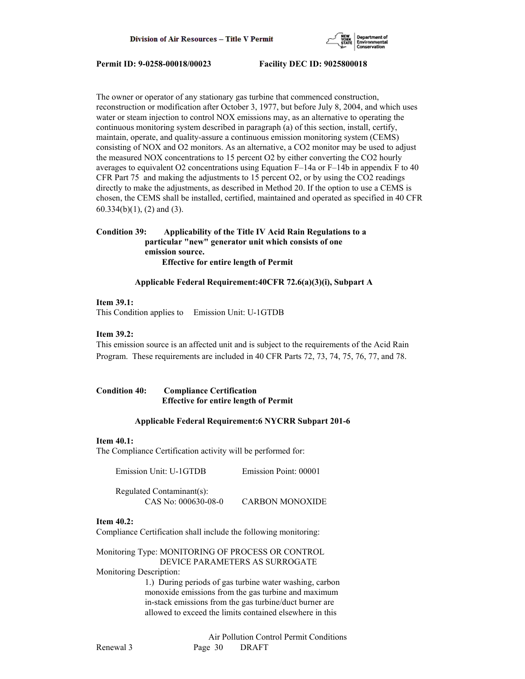

The owner or operator of any stationary gas turbine that commenced construction, reconstruction or modification after October 3, 1977, but before July 8, 2004, and which uses water or steam injection to control NOX emissions may, as an alternative to operating the continuous monitoring system described in paragraph (a) of this section, install, certify, maintain, operate, and quality-assure a continuous emission monitoring system (CEMS) consisting of NOX and O2 monitors. As an alternative, a CO2 monitor may be used to adjust the measured NOX concentrations to 15 percent O2 by either converting the CO2 hourly averages to equivalent O2 concentrations using Equation F–14a or F–14b in appendix F to 40 CFR Part 75 and making the adjustments to 15 percent O2, or by using the CO2 readings directly to make the adjustments, as described in Method 20. If the option to use a CEMS is chosen, the CEMS shall be installed, certified, maintained and operated as specified in 40 CFR 60.334(b)(1), (2) and (3).

# **Condition 39: Applicability of the Title IV Acid Rain Regulations to a particular "new" generator unit which consists of one emission source. Effective for entire length of Permit**

 **Applicable Federal Requirement:40CFR 72.6(a)(3)(i), Subpart A**

## **Item 39.1:**

This Condition applies to Emission Unit: U-1GTDB

# **Item 39.2:**

This emission source is an affected unit and is subject to the requirements of the Acid Rain Program. These requirements are included in 40 CFR Parts 72, 73, 74, 75, 76, 77, and 78.

# **Condition 40: Compliance Certification Effective for entire length of Permit**

#### **Applicable Federal Requirement:6 NYCRR Subpart 201-6**

## **Item 40.1:**

The Compliance Certification activity will be performed for:

Emission Unit: U-1GTDB Emission Point: 00001

 Regulated Contaminant(s): CAS No: 000630-08-0 CARBON MONOXIDE

# **Item 40.2:**

Compliance Certification shall include the following monitoring:

# Monitoring Type: MONITORING OF PROCESS OR CONTROL DEVICE PARAMETERS AS SURROGATE

Monitoring Description:

 1.) During periods of gas turbine water washing, carbon monoxide emissions from the gas turbine and maximum in-stack emissions from the gas turbine/duct burner are allowed to exceed the limits contained elsewhere in this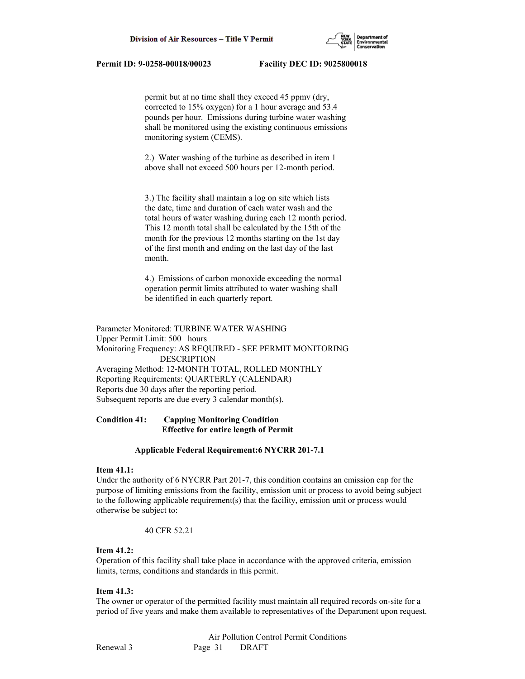

 permit but at no time shall they exceed 45 ppmv (dry, corrected to 15% oxygen) for a 1 hour average and 53.4 pounds per hour. Emissions during turbine water washing shall be monitored using the existing continuous emissions monitoring system (CEMS).

 2.) Water washing of the turbine as described in item 1 above shall not exceed 500 hours per 12-month period.

 3.) The facility shall maintain a log on site which lists the date, time and duration of each water wash and the total hours of water washing during each 12 month period. This 12 month total shall be calculated by the 15th of the month for the previous 12 months starting on the 1st day of the first month and ending on the last day of the last month.

 4.) Emissions of carbon monoxide exceeding the normal operation permit limits attributed to water washing shall be identified in each quarterly report.

Parameter Monitored: TURBINE WATER WASHING Upper Permit Limit: 500 hours Monitoring Frequency: AS REQUIRED - SEE PERMIT MONITORING DESCRIPTION Averaging Method: 12-MONTH TOTAL, ROLLED MONTHLY Reporting Requirements: QUARTERLY (CALENDAR) Reports due 30 days after the reporting period. Subsequent reports are due every 3 calendar month(s).

# **Condition 41: Capping Monitoring Condition Effective for entire length of Permit**

#### **Applicable Federal Requirement:6 NYCRR 201-7.1**

#### **Item 41.1:**

Under the authority of 6 NYCRR Part 201-7, this condition contains an emission cap for the purpose of limiting emissions from the facility, emission unit or process to avoid being subject to the following applicable requirement(s) that the facility, emission unit or process would otherwise be subject to:

#### 40 CFR 52.21

# **Item 41.2:**

Operation of this facility shall take place in accordance with the approved criteria, emission limits, terms, conditions and standards in this permit.

# **Item 41.3:**

The owner or operator of the permitted facility must maintain all required records on-site for a period of five years and make them available to representatives of the Department upon request.

 Air Pollution Control Permit Conditions Renewal 3 Page 31 DRAFT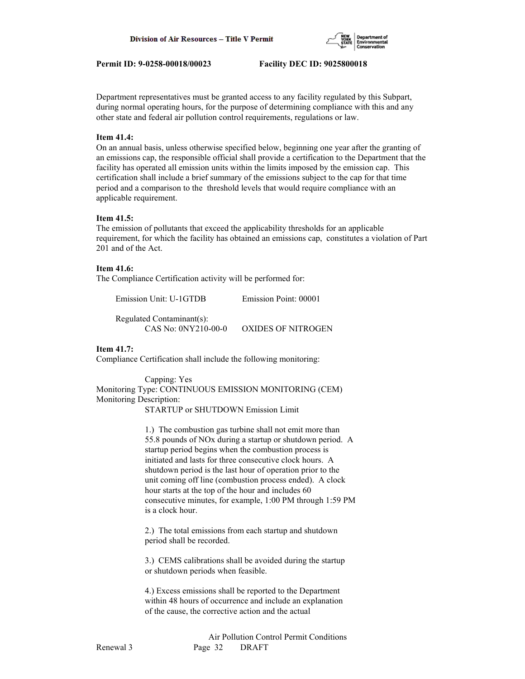

Department representatives must be granted access to any facility regulated by this Subpart, during normal operating hours, for the purpose of determining compliance with this and any other state and federal air pollution control requirements, regulations or law.

# **Item 41.4:**

On an annual basis, unless otherwise specified below, beginning one year after the granting of an emissions cap, the responsible official shall provide a certification to the Department that the facility has operated all emission units within the limits imposed by the emission cap. This certification shall include a brief summary of the emissions subject to the cap for that time period and a comparison to the threshold levels that would require compliance with an applicable requirement.

## **Item 41.5:**

The emission of pollutants that exceed the applicability thresholds for an applicable requirement, for which the facility has obtained an emissions cap, constitutes a violation of Part 201 and of the Act.

### **Item 41.6:**

The Compliance Certification activity will be performed for:

 Regulated Contaminant(s): CAS No: 0NY210-00-0 OXIDES OF NITROGEN

# **Item 41.7:**

Compliance Certification shall include the following monitoring:

 Capping: Yes Monitoring Type: CONTINUOUS EMISSION MONITORING (CEM) Monitoring Description:

STARTUP or SHUTDOWN Emission Limit

 1.) The combustion gas turbine shall not emit more than 55.8 pounds of NOx during a startup or shutdown period. A startup period begins when the combustion process is initiated and lasts for three consecutive clock hours. A shutdown period is the last hour of operation prior to the unit coming off line (combustion process ended). A clock hour starts at the top of the hour and includes 60 consecutive minutes, for example, 1:00 PM through 1:59 PM is a clock hour.

 2.) The total emissions from each startup and shutdown period shall be recorded.

 3.) CEMS calibrations shall be avoided during the startup or shutdown periods when feasible.

 4.) Excess emissions shall be reported to the Department within 48 hours of occurrence and include an explanation of the cause, the corrective action and the actual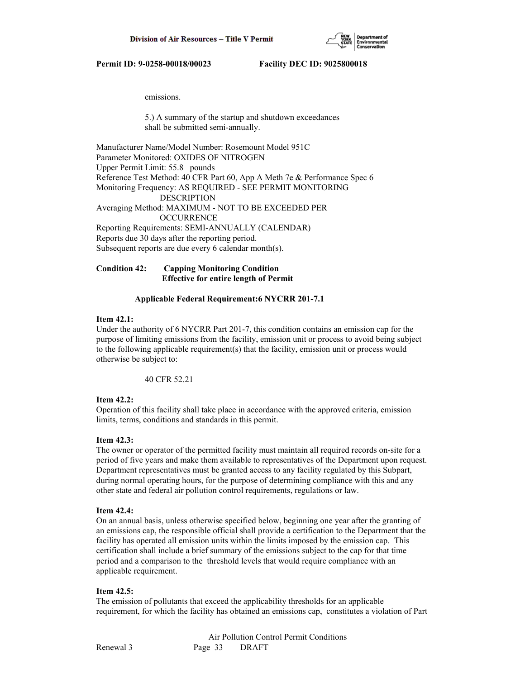

emissions.

 5.) A summary of the startup and shutdown exceedances shall be submitted semi-annually.

Manufacturer Name/Model Number: Rosemount Model 951C Parameter Monitored: OXIDES OF NITROGEN Upper Permit Limit: 55.8 pounds Reference Test Method: 40 CFR Part 60, App A Meth 7e & Performance Spec 6 Monitoring Frequency: AS REQUIRED - SEE PERMIT MONITORING DESCRIPTION Averaging Method: MAXIMUM - NOT TO BE EXCEEDED PER **OCCURRENCE** Reporting Requirements: SEMI-ANNUALLY (CALENDAR) Reports due 30 days after the reporting period. Subsequent reports are due every 6 calendar month(s).

**Condition 42: Capping Monitoring Condition Effective for entire length of Permit**

# **Applicable Federal Requirement:6 NYCRR 201-7.1**

# **Item 42.1:**

Under the authority of 6 NYCRR Part 201-7, this condition contains an emission cap for the purpose of limiting emissions from the facility, emission unit or process to avoid being subject to the following applicable requirement(s) that the facility, emission unit or process would otherwise be subject to:

40 CFR 52.21

# **Item 42.2:**

Operation of this facility shall take place in accordance with the approved criteria, emission limits, terms, conditions and standards in this permit.

# **Item 42.3:**

The owner or operator of the permitted facility must maintain all required records on-site for a period of five years and make them available to representatives of the Department upon request. Department representatives must be granted access to any facility regulated by this Subpart, during normal operating hours, for the purpose of determining compliance with this and any other state and federal air pollution control requirements, regulations or law.

# **Item 42.4:**

On an annual basis, unless otherwise specified below, beginning one year after the granting of an emissions cap, the responsible official shall provide a certification to the Department that the facility has operated all emission units within the limits imposed by the emission cap. This certification shall include a brief summary of the emissions subject to the cap for that time period and a comparison to the threshold levels that would require compliance with an applicable requirement.

# **Item 42.5:**

The emission of pollutants that exceed the applicability thresholds for an applicable requirement, for which the facility has obtained an emissions cap, constitutes a violation of Part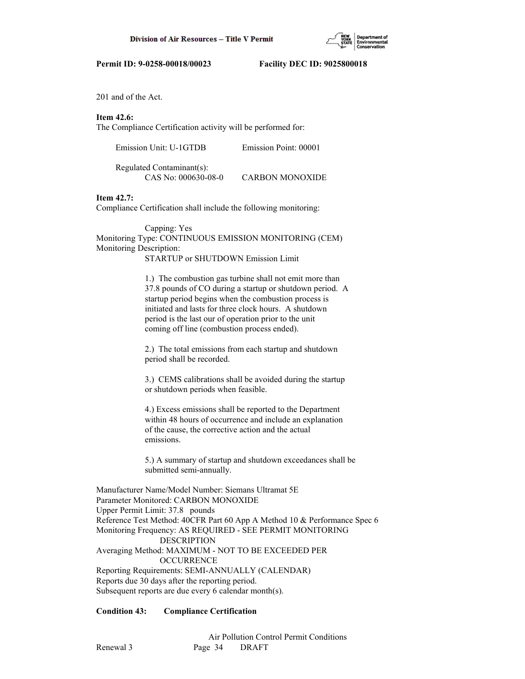

201 and of the Act.

# **Item 42.6:**

The Compliance Certification activity will be performed for:

| Emission Unit: U-1GTDB        | Emission Point: 00001  |
|-------------------------------|------------------------|
| Regulated Contaminant $(s)$ : |                        |
| CAS No: 000630-08-0           | <b>CARBON MONOXIDE</b> |

# **Item 42.7:**

Compliance Certification shall include the following monitoring:

# Capping: Yes Monitoring Type: CONTINUOUS EMISSION MONITORING (CEM) Monitoring Description: STARTUP or SHUTDOWN Emission Limit

 1.) The combustion gas turbine shall not emit more than 37.8 pounds of CO during a startup or shutdown period. A startup period begins when the combustion process is initiated and lasts for three clock hours. A shutdown period is the last our of operation prior to the unit coming off line (combustion process ended).

 2.) The total emissions from each startup and shutdown period shall be recorded.

 3.) CEMS calibrations shall be avoided during the startup or shutdown periods when feasible.

 4.) Excess emissions shall be reported to the Department within 48 hours of occurrence and include an explanation of the cause, the corrective action and the actual emissions.

 5.) A summary of startup and shutdown exceedances shall be submitted semi-annually.

Manufacturer Name/Model Number: Siemans Ultramat 5E Parameter Monitored: CARBON MONOXIDE Upper Permit Limit: 37.8 pounds Reference Test Method: 40CFR Part 60 App A Method 10 & Performance Spec 6 Monitoring Frequency: AS REQUIRED - SEE PERMIT MONITORING DESCRIPTION Averaging Method: MAXIMUM - NOT TO BE EXCEEDED PER **OCCURRENCE** Reporting Requirements: SEMI-ANNUALLY (CALENDAR) Reports due 30 days after the reporting period. Subsequent reports are due every 6 calendar month(s).

# **Condition 43: Compliance Certification**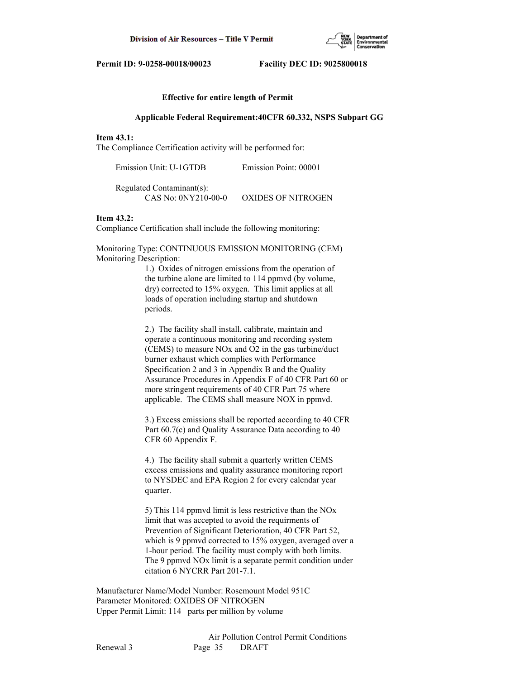

### **Effective for entire length of Permit**

#### **Applicable Federal Requirement:40CFR 60.332, NSPS Subpart GG**

# **Item 43.1:**

The Compliance Certification activity will be performed for:

| Emission Unit: U-1GTDB    | Emission Point: 00001     |
|---------------------------|---------------------------|
| Regulated Contaminant(s): |                           |
| CAS No: 0NY210-00-0       | <b>OXIDES OF NITROGEN</b> |

#### **Item 43.2:**

Compliance Certification shall include the following monitoring:

Monitoring Type: CONTINUOUS EMISSION MONITORING (CEM) Monitoring Description:

> 1.) Oxides of nitrogen emissions from the operation of the turbine alone are limited to 114 ppmvd (by volume, dry) corrected to 15% oxygen. This limit applies at all loads of operation including startup and shutdown periods.

 2.) The facility shall install, calibrate, maintain and operate a continuous monitoring and recording system (CEMS) to measure NOx and O2 in the gas turbine/duct burner exhaust which complies with Performance Specification 2 and 3 in Appendix B and the Quality Assurance Procedures in Appendix F of 40 CFR Part 60 or more stringent requirements of 40 CFR Part 75 where applicable. The CEMS shall measure NOX in ppmvd.

 3.) Excess emissions shall be reported according to 40 CFR Part 60.7(c) and Quality Assurance Data according to 40 CFR 60 Appendix F.

 4.) The facility shall submit a quarterly written CEMS excess emissions and quality assurance monitoring report to NYSDEC and EPA Region 2 for every calendar year quarter.

 5) This 114 ppmvd limit is less restrictive than the NOx limit that was accepted to avoid the requirments of Prevention of Significant Deterioration, 40 CFR Part 52, which is 9 ppmvd corrected to 15% oxygen, averaged over a 1-hour period. The facility must comply with both limits. The 9 ppmvd NOx limit is a separate permit condition under citation 6 NYCRR Part 201-7.1.

Manufacturer Name/Model Number: Rosemount Model 951C Parameter Monitored: OXIDES OF NITROGEN Upper Permit Limit: 114 parts per million by volume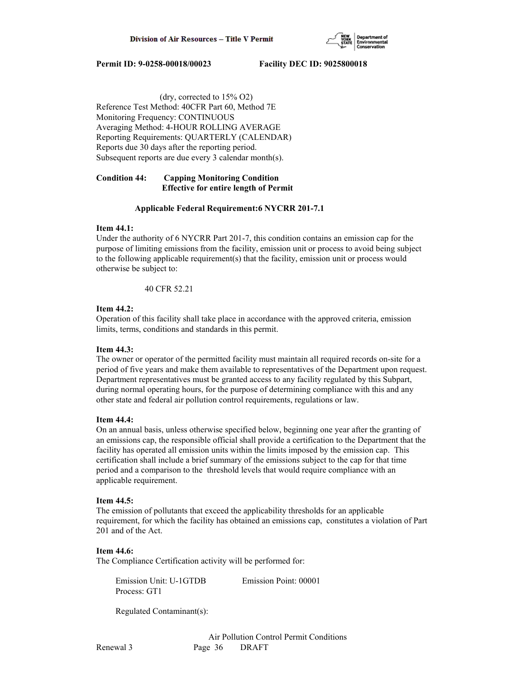

 (dry, corrected to 15% O2) Reference Test Method: 40CFR Part 60, Method 7E Monitoring Frequency: CONTINUOUS Averaging Method: 4-HOUR ROLLING AVERAGE Reporting Requirements: QUARTERLY (CALENDAR) Reports due 30 days after the reporting period. Subsequent reports are due every 3 calendar month(s).

# **Condition 44: Capping Monitoring Condition Effective for entire length of Permit**

# **Applicable Federal Requirement:6 NYCRR 201-7.1**

# **Item 44.1:**

Under the authority of 6 NYCRR Part 201-7, this condition contains an emission cap for the purpose of limiting emissions from the facility, emission unit or process to avoid being subject to the following applicable requirement(s) that the facility, emission unit or process would otherwise be subject to:

40 CFR 52.21

# **Item 44.2:**

Operation of this facility shall take place in accordance with the approved criteria, emission limits, terms, conditions and standards in this permit.

# **Item 44.3:**

The owner or operator of the permitted facility must maintain all required records on-site for a period of five years and make them available to representatives of the Department upon request. Department representatives must be granted access to any facility regulated by this Subpart, during normal operating hours, for the purpose of determining compliance with this and any other state and federal air pollution control requirements, regulations or law.

# **Item 44.4:**

On an annual basis, unless otherwise specified below, beginning one year after the granting of an emissions cap, the responsible official shall provide a certification to the Department that the facility has operated all emission units within the limits imposed by the emission cap. This certification shall include a brief summary of the emissions subject to the cap for that time period and a comparison to the threshold levels that would require compliance with an applicable requirement.

# **Item 44.5:**

The emission of pollutants that exceed the applicability thresholds for an applicable requirement, for which the facility has obtained an emissions cap, constitutes a violation of Part 201 and of the Act.

# **Item 44.6:**

The Compliance Certification activity will be performed for:

 Emission Unit: U-1GTDB Emission Point: 00001 Process: GT1

Regulated Contaminant(s):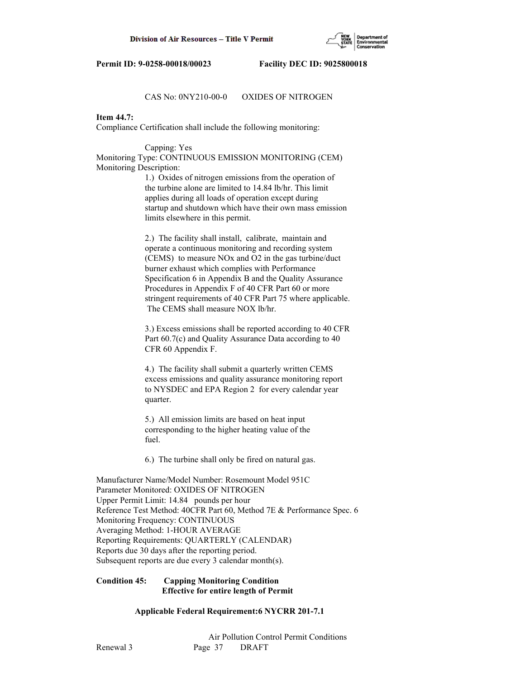

## CAS No: 0NY210-00-0 OXIDES OF NITROGEN

# **Item 44.7:**

Compliance Certification shall include the following monitoring:

Capping: Yes

Monitoring Type: CONTINUOUS EMISSION MONITORING (CEM) Monitoring Description:

> 1.) Oxides of nitrogen emissions from the operation of the turbine alone are limited to 14.84 lb/hr. This limit applies during all loads of operation except during startup and shutdown which have their own mass emission limits elsewhere in this permit.

 2.) The facility shall install, calibrate, maintain and operate a continuous monitoring and recording system (CEMS) to measure NOx and O2 in the gas turbine/duct burner exhaust which complies with Performance Specification 6 in Appendix B and the Quality Assurance Procedures in Appendix F of 40 CFR Part 60 or more stringent requirements of 40 CFR Part 75 where applicable. The CEMS shall measure NOX lb/hr.

 3.) Excess emissions shall be reported according to 40 CFR Part 60.7(c) and Quality Assurance Data according to 40 CFR 60 Appendix F.

 4.) The facility shall submit a quarterly written CEMS excess emissions and quality assurance monitoring report to NYSDEC and EPA Region 2 for every calendar year quarter.

 5.) All emission limits are based on heat input corresponding to the higher heating value of the fuel.

6.) The turbine shall only be fired on natural gas.

Manufacturer Name/Model Number: Rosemount Model 951C Parameter Monitored: OXIDES OF NITROGEN Upper Permit Limit: 14.84 pounds per hour Reference Test Method: 40CFR Part 60, Method 7E & Performance Spec. 6 Monitoring Frequency: CONTINUOUS Averaging Method: 1-HOUR AVERAGE Reporting Requirements: QUARTERLY (CALENDAR) Reports due 30 days after the reporting period. Subsequent reports are due every 3 calendar month(s).

## **Condition 45: Capping Monitoring Condition Effective for entire length of Permit**

# **Applicable Federal Requirement:6 NYCRR 201-7.1**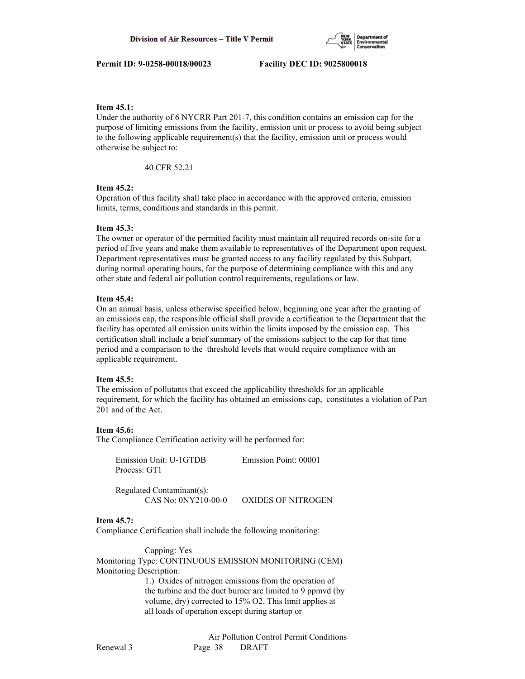

# **Item 45.1:**

Under the authority of 6 NYCRR Part 201-7, this condition contains an emission cap for the purpose of limiting emissions from the facility, emission unit or process to avoid being subject to the following applicable requirement(s) that the facility, emission unit or process would otherwise be subject to:

40 CFR 52.21

# **Item 45.2:**

Operation of this facility shall take place in accordance with the approved criteria, emission limits, terms, conditions and standards in this permit.

## **Item 45.3:**

The owner or operator of the permitted facility must maintain all required records on-site for a period of five years and make them available to representatives of the Department upon request. Department representatives must be granted access to any facility regulated by this Subpart, during normal operating hours, for the purpose of determining compliance with this and any other state and federal air pollution control requirements, regulations or law.

### **Item 45.4:**

On an annual basis, unless otherwise specified below, beginning one year after the granting of an emissions cap, the responsible official shall provide a certification to the Department that the facility has operated all emission units within the limits imposed by the emission cap. This certification shall include a brief summary of the emissions subject to the cap for that time period and a comparison to the threshold levels that would require compliance with an applicable requirement.

#### **Item 45.5:**

The emission of pollutants that exceed the applicability thresholds for an applicable requirement, for which the facility has obtained an emissions cap, constitutes a violation of Part 201 and of the Act.

#### **Item 45.6:**

The Compliance Certification activity will be performed for:

| Emission Unit: U-1GTDB | Emission Point: 00001 |
|------------------------|-----------------------|
| Process: GT1           |                       |

 Regulated Contaminant(s): CAS No: 0NY210-00-0 OXIDES OF NITROGEN

# **Item 45.7:**

Compliance Certification shall include the following monitoring:

 Capping: Yes Monitoring Type: CONTINUOUS EMISSION MONITORING (CEM) Monitoring Description:

> 1.) Oxides of nitrogen emissions from the operation of the turbine and the duct burner are limited to 9 ppmvd (by volume, dry) corrected to 15% O2. This limit applies at all loads of operation except during startup or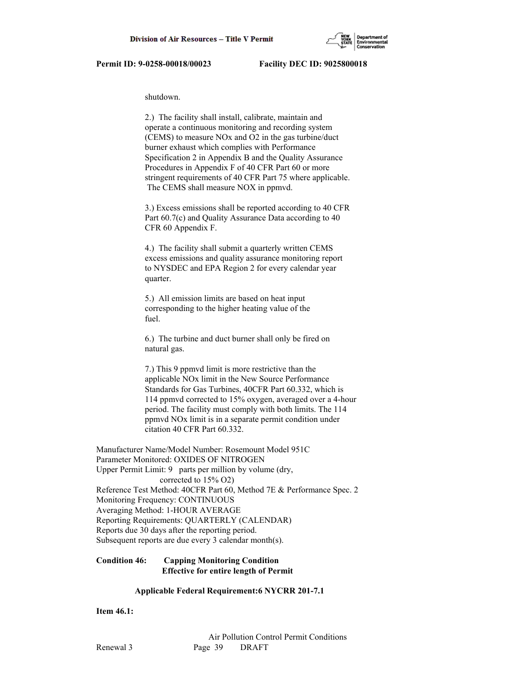

shutdown.

 2.) The facility shall install, calibrate, maintain and operate a continuous monitoring and recording system (CEMS) to measure NOx and O2 in the gas turbine/duct burner exhaust which complies with Performance Specification 2 in Appendix B and the Quality Assurance Procedures in Appendix F of 40 CFR Part 60 or more stringent requirements of 40 CFR Part 75 where applicable. The CEMS shall measure NOX in ppmvd.

 3.) Excess emissions shall be reported according to 40 CFR Part 60.7(c) and Quality Assurance Data according to 40 CFR 60 Appendix F.

 4.) The facility shall submit a quarterly written CEMS excess emissions and quality assurance monitoring report to NYSDEC and EPA Region 2 for every calendar year quarter.

 5.) All emission limits are based on heat input corresponding to the higher heating value of the fuel.

 6.) The turbine and duct burner shall only be fired on natural gas.

 7.) This 9 ppmvd limit is more restrictive than the applicable NOx limit in the New Source Performance Standards for Gas Turbines, 40CFR Part 60.332, which is 114 ppmvd corrected to 15% oxygen, averaged over a 4-hour period. The facility must comply with both limits. The 114 ppmvd NOx limit is in a separate permit condition under citation 40 CFR Part 60.332.

Manufacturer Name/Model Number: Rosemount Model 951C Parameter Monitored: OXIDES OF NITROGEN Upper Permit Limit: 9 parts per million by volume (dry, corrected to 15% O2) Reference Test Method: 40CFR Part 60, Method 7E & Performance Spec. 2 Monitoring Frequency: CONTINUOUS Averaging Method: 1-HOUR AVERAGE Reporting Requirements: QUARTERLY (CALENDAR) Reports due 30 days after the reporting period. Subsequent reports are due every 3 calendar month(s).

**Condition 46: Capping Monitoring Condition Effective for entire length of Permit**

# **Applicable Federal Requirement:6 NYCRR 201-7.1**

**Item 46.1:**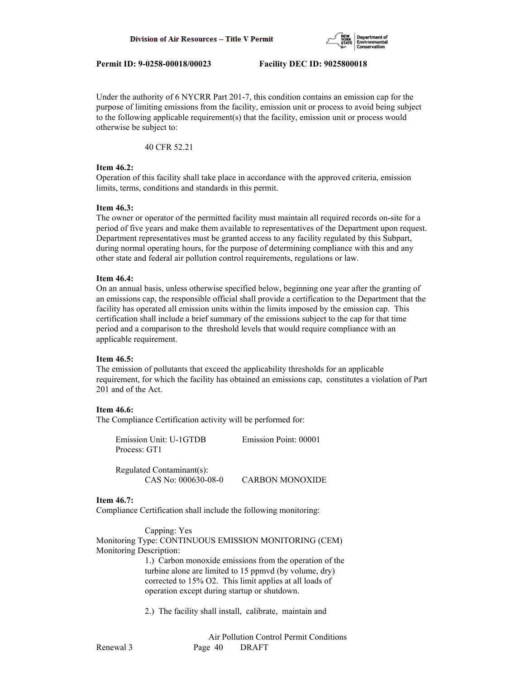

Under the authority of 6 NYCRR Part 201-7, this condition contains an emission cap for the purpose of limiting emissions from the facility, emission unit or process to avoid being subject to the following applicable requirement(s) that the facility, emission unit or process would otherwise be subject to:

40 CFR 52.21

# **Item 46.2:**

Operation of this facility shall take place in accordance with the approved criteria, emission limits, terms, conditions and standards in this permit.

# **Item 46.3:**

The owner or operator of the permitted facility must maintain all required records on-site for a period of five years and make them available to representatives of the Department upon request. Department representatives must be granted access to any facility regulated by this Subpart, during normal operating hours, for the purpose of determining compliance with this and any other state and federal air pollution control requirements, regulations or law.

# **Item 46.4:**

On an annual basis, unless otherwise specified below, beginning one year after the granting of an emissions cap, the responsible official shall provide a certification to the Department that the facility has operated all emission units within the limits imposed by the emission cap. This certification shall include a brief summary of the emissions subject to the cap for that time period and a comparison to the threshold levels that would require compliance with an applicable requirement.

# **Item 46.5:**

The emission of pollutants that exceed the applicability thresholds for an applicable requirement, for which the facility has obtained an emissions cap, constitutes a violation of Part 201 and of the Act.

# **Item 46.6:**

The Compliance Certification activity will be performed for:

| Emission Unit: U-1GTDB<br>Process: GT1           | Emission Point: 00001  |
|--------------------------------------------------|------------------------|
| Regulated Contaminant(s):<br>CAS No: 000630-08-0 | <b>CARBON MONOXIDE</b> |

# **Item 46.7:**

Compliance Certification shall include the following monitoring:

 Capping: Yes Monitoring Type: CONTINUOUS EMISSION MONITORING (CEM) Monitoring Description: 1.) Carbon monoxide emissions from the operation of the

 turbine alone are limited to 15 ppmvd (by volume, dry) corrected to 15% O2. This limit applies at all loads of operation except during startup or shutdown.

2.) The facility shall install, calibrate, maintain and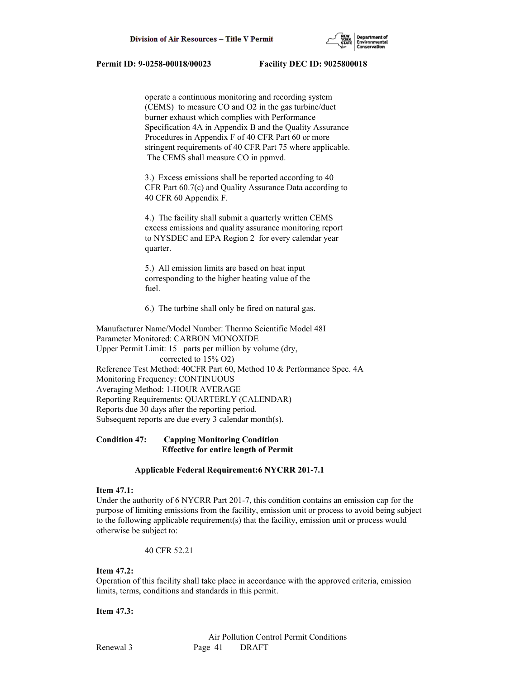

 operate a continuous monitoring and recording system (CEMS) to measure CO and O2 in the gas turbine/duct burner exhaust which complies with Performance Specification 4A in Appendix B and the Quality Assurance Procedures in Appendix F of 40 CFR Part 60 or more stringent requirements of 40 CFR Part 75 where applicable. The CEMS shall measure CO in ppmvd.

 3.) Excess emissions shall be reported according to 40 CFR Part 60.7(c) and Quality Assurance Data according to 40 CFR 60 Appendix F.

 4.) The facility shall submit a quarterly written CEMS excess emissions and quality assurance monitoring report to NYSDEC and EPA Region 2 for every calendar year quarter.

 5.) All emission limits are based on heat input corresponding to the higher heating value of the fuel.

6.) The turbine shall only be fired on natural gas.

Manufacturer Name/Model Number: Thermo Scientific Model 48I Parameter Monitored: CARBON MONOXIDE Upper Permit Limit: 15 parts per million by volume (dry, corrected to 15% O2) Reference Test Method: 40CFR Part 60, Method 10 & Performance Spec. 4A Monitoring Frequency: CONTINUOUS Averaging Method: 1-HOUR AVERAGE Reporting Requirements: QUARTERLY (CALENDAR) Reports due 30 days after the reporting period. Subsequent reports are due every 3 calendar month(s).

# **Condition 47: Capping Monitoring Condition Effective for entire length of Permit**

#### **Applicable Federal Requirement:6 NYCRR 201-7.1**

# **Item 47.1:**

Under the authority of 6 NYCRR Part 201-7, this condition contains an emission cap for the purpose of limiting emissions from the facility, emission unit or process to avoid being subject to the following applicable requirement(s) that the facility, emission unit or process would otherwise be subject to:

40 CFR 52.21

# **Item 47.2:**

Operation of this facility shall take place in accordance with the approved criteria, emission limits, terms, conditions and standards in this permit.

#### **Item 47.3:**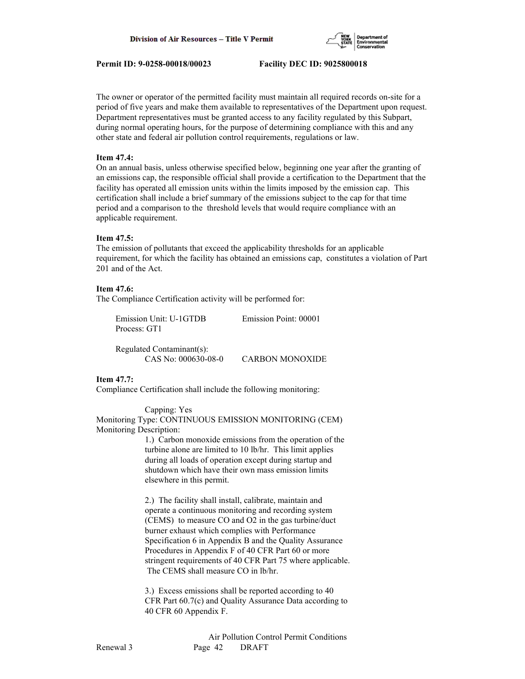

The owner or operator of the permitted facility must maintain all required records on-site for a period of five years and make them available to representatives of the Department upon request. Department representatives must be granted access to any facility regulated by this Subpart, during normal operating hours, for the purpose of determining compliance with this and any other state and federal air pollution control requirements, regulations or law.

# **Item 47.4:**

On an annual basis, unless otherwise specified below, beginning one year after the granting of an emissions cap, the responsible official shall provide a certification to the Department that the facility has operated all emission units within the limits imposed by the emission cap. This certification shall include a brief summary of the emissions subject to the cap for that time period and a comparison to the threshold levels that would require compliance with an applicable requirement.

### **Item 47.5:**

The emission of pollutants that exceed the applicability thresholds for an applicable requirement, for which the facility has obtained an emissions cap, constitutes a violation of Part 201 and of the Act.

# **Item 47.6:**

The Compliance Certification activity will be performed for:

| Emission Unit: U-1GTDB | Emission Point: 00001 |
|------------------------|-----------------------|
| Process: GT1           |                       |

 Regulated Contaminant(s): CAS No: 000630-08-0 CARBON MONOXIDE

# **Item 47.7:**

Compliance Certification shall include the following monitoring:

 Capping: Yes Monitoring Type: CONTINUOUS EMISSION MONITORING (CEM) Monitoring Description:

 1.) Carbon monoxide emissions from the operation of the turbine alone are limited to 10 lb/hr. This limit applies during all loads of operation except during startup and shutdown which have their own mass emission limits elsewhere in this permit.

 2.) The facility shall install, calibrate, maintain and operate a continuous monitoring and recording system (CEMS) to measure CO and O2 in the gas turbine/duct burner exhaust which complies with Performance Specification 6 in Appendix B and the Quality Assurance Procedures in Appendix F of 40 CFR Part 60 or more stringent requirements of 40 CFR Part 75 where applicable. The CEMS shall measure CO in lb/hr.

 3.) Excess emissions shall be reported according to 40 CFR Part 60.7(c) and Quality Assurance Data according to 40 CFR 60 Appendix F.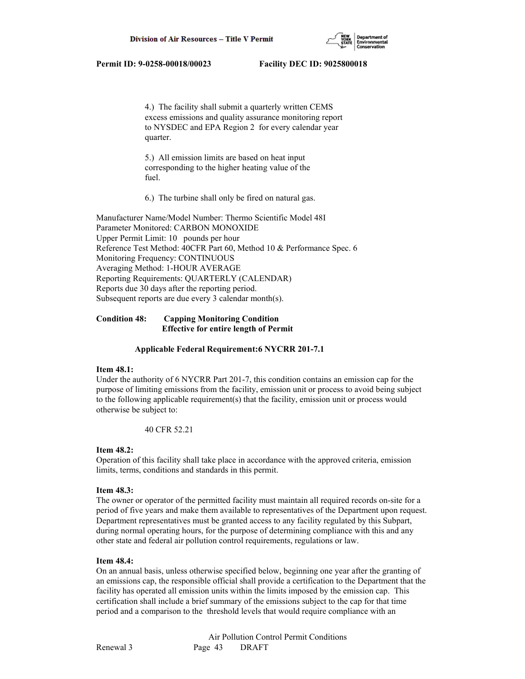

 4.) The facility shall submit a quarterly written CEMS excess emissions and quality assurance monitoring report to NYSDEC and EPA Region 2 for every calendar year quarter.

 5.) All emission limits are based on heat input corresponding to the higher heating value of the fuel.

6.) The turbine shall only be fired on natural gas.

Manufacturer Name/Model Number: Thermo Scientific Model 48I Parameter Monitored: CARBON MONOXIDE Upper Permit Limit: 10 pounds per hour Reference Test Method: 40CFR Part 60, Method 10 & Performance Spec. 6 Monitoring Frequency: CONTINUOUS Averaging Method: 1-HOUR AVERAGE Reporting Requirements: QUARTERLY (CALENDAR) Reports due 30 days after the reporting period. Subsequent reports are due every 3 calendar month(s).

# **Condition 48: Capping Monitoring Condition Effective for entire length of Permit**

# **Applicable Federal Requirement:6 NYCRR 201-7.1**

# **Item 48.1:**

Under the authority of 6 NYCRR Part 201-7, this condition contains an emission cap for the purpose of limiting emissions from the facility, emission unit or process to avoid being subject to the following applicable requirement(s) that the facility, emission unit or process would otherwise be subject to:

40 CFR 52.21

# **Item 48.2:**

Operation of this facility shall take place in accordance with the approved criteria, emission limits, terms, conditions and standards in this permit.

# **Item 48.3:**

The owner or operator of the permitted facility must maintain all required records on-site for a period of five years and make them available to representatives of the Department upon request. Department representatives must be granted access to any facility regulated by this Subpart, during normal operating hours, for the purpose of determining compliance with this and any other state and federal air pollution control requirements, regulations or law.

# **Item 48.4:**

On an annual basis, unless otherwise specified below, beginning one year after the granting of an emissions cap, the responsible official shall provide a certification to the Department that the facility has operated all emission units within the limits imposed by the emission cap. This certification shall include a brief summary of the emissions subject to the cap for that time period and a comparison to the threshold levels that would require compliance with an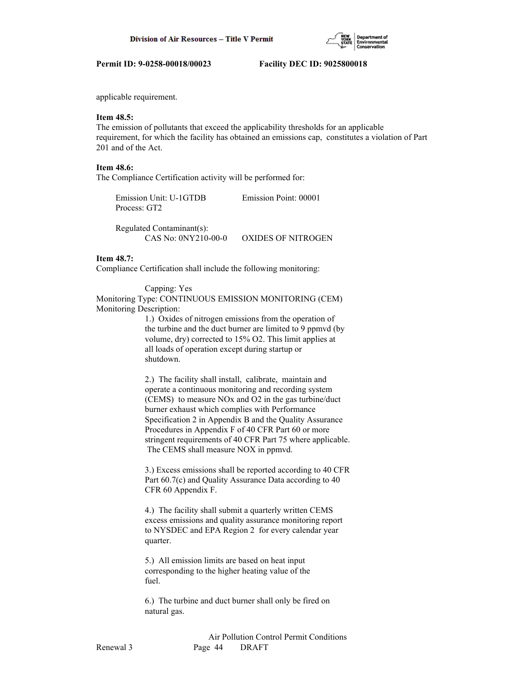

applicable requirement.

# **Item 48.5:**

The emission of pollutants that exceed the applicability thresholds for an applicable requirement, for which the facility has obtained an emissions cap, constitutes a violation of Part 201 and of the Act.

## **Item 48.6:**

The Compliance Certification activity will be performed for:

| Emission Unit: U-1GTDB | Emission Point: 00001 |
|------------------------|-----------------------|
| Process: GT2           |                       |

 Regulated Contaminant(s): CAS No: 0NY210-00-0 OXIDES OF NITROGEN

# **Item 48.7:**

Compliance Certification shall include the following monitoring:

 Capping: Yes Monitoring Type: CONTINUOUS EMISSION MONITORING (CEM) Monitoring Description:

 1.) Oxides of nitrogen emissions from the operation of the turbine and the duct burner are limited to 9 ppmvd (by volume, dry) corrected to 15% O2. This limit applies at all loads of operation except during startup or shutdown.

 2.) The facility shall install, calibrate, maintain and operate a continuous monitoring and recording system (CEMS) to measure NOx and O2 in the gas turbine/duct burner exhaust which complies with Performance Specification 2 in Appendix B and the Quality Assurance Procedures in Appendix F of 40 CFR Part 60 or more stringent requirements of 40 CFR Part 75 where applicable. The CEMS shall measure NOX in ppmvd.

 3.) Excess emissions shall be reported according to 40 CFR Part 60.7(c) and Quality Assurance Data according to 40 CFR 60 Appendix F.

 4.) The facility shall submit a quarterly written CEMS excess emissions and quality assurance monitoring report to NYSDEC and EPA Region 2 for every calendar year quarter.

 5.) All emission limits are based on heat input corresponding to the higher heating value of the fuel.

 6.) The turbine and duct burner shall only be fired on natural gas.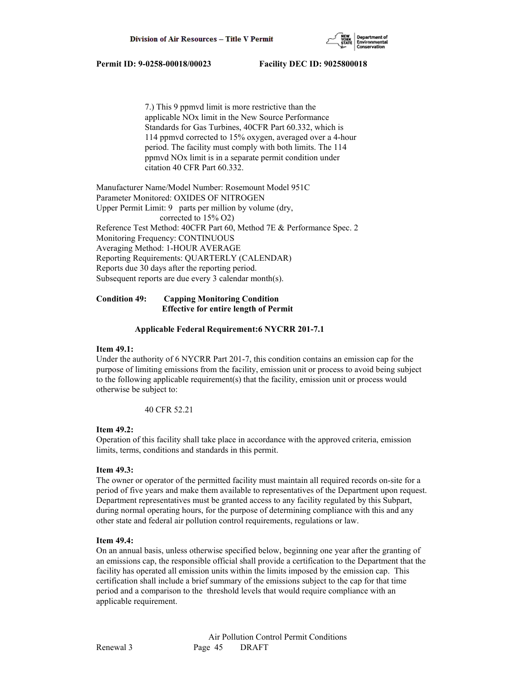

 7.) This 9 ppmvd limit is more restrictive than the applicable NOx limit in the New Source Performance Standards for Gas Turbines, 40CFR Part 60.332, which is 114 ppmvd corrected to 15% oxygen, averaged over a 4-hour period. The facility must comply with both limits. The 114 ppmvd NOx limit is in a separate permit condition under citation 40 CFR Part 60.332.

Manufacturer Name/Model Number: Rosemount Model 951C Parameter Monitored: OXIDES OF NITROGEN Upper Permit Limit: 9 parts per million by volume (dry, corrected to 15% O2) Reference Test Method: 40CFR Part 60, Method 7E & Performance Spec. 2 Monitoring Frequency: CONTINUOUS Averaging Method: 1-HOUR AVERAGE Reporting Requirements: QUARTERLY (CALENDAR) Reports due 30 days after the reporting period. Subsequent reports are due every 3 calendar month(s).

# **Condition 49: Capping Monitoring Condition Effective for entire length of Permit**

### **Applicable Federal Requirement:6 NYCRR 201-7.1**

# **Item 49.1:**

Under the authority of 6 NYCRR Part 201-7, this condition contains an emission cap for the purpose of limiting emissions from the facility, emission unit or process to avoid being subject to the following applicable requirement(s) that the facility, emission unit or process would otherwise be subject to:

40 CFR 52.21

# **Item 49.2:**

Operation of this facility shall take place in accordance with the approved criteria, emission limits, terms, conditions and standards in this permit.

# **Item 49.3:**

The owner or operator of the permitted facility must maintain all required records on-site for a period of five years and make them available to representatives of the Department upon request. Department representatives must be granted access to any facility regulated by this Subpart, during normal operating hours, for the purpose of determining compliance with this and any other state and federal air pollution control requirements, regulations or law.

#### **Item 49.4:**

On an annual basis, unless otherwise specified below, beginning one year after the granting of an emissions cap, the responsible official shall provide a certification to the Department that the facility has operated all emission units within the limits imposed by the emission cap. This certification shall include a brief summary of the emissions subject to the cap for that time period and a comparison to the threshold levels that would require compliance with an applicable requirement.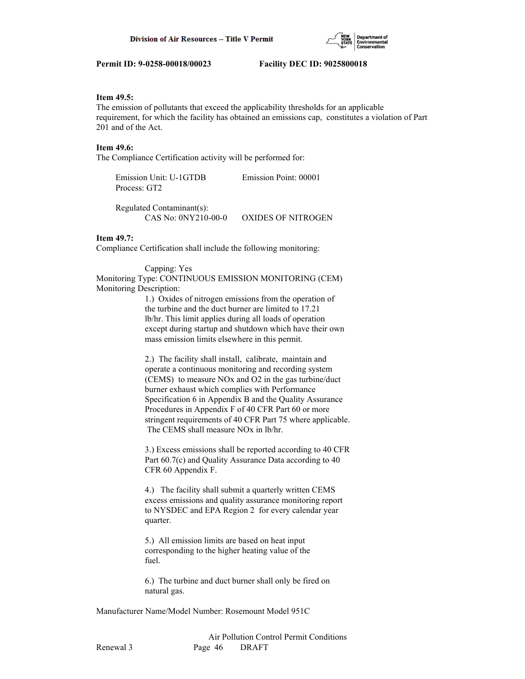# **Item 49.5:**

The emission of pollutants that exceed the applicability thresholds for an applicable requirement, for which the facility has obtained an emissions cap, constitutes a violation of Part 201 and of the Act.

# **Item 49.6:**

The Compliance Certification activity will be performed for:

 Emission Unit: U-1GTDB Emission Point: 00001 Process: GT2

 Regulated Contaminant(s): CAS No: 0NY210-00-0 OXIDES OF NITROGEN

## **Item 49.7:**

Compliance Certification shall include the following monitoring:

#### Capping: Yes

Monitoring Type: CONTINUOUS EMISSION MONITORING (CEM) Monitoring Description:

> 1.) Oxides of nitrogen emissions from the operation of the turbine and the duct burner are limited to 17.21 lb/hr. This limit applies during all loads of operation except during startup and shutdown which have their own mass emission limits elsewhere in this permit.

 2.) The facility shall install, calibrate, maintain and operate a continuous monitoring and recording system (CEMS) to measure NOx and O2 in the gas turbine/duct burner exhaust which complies with Performance Specification 6 in Appendix B and the Quality Assurance Procedures in Appendix F of 40 CFR Part 60 or more stringent requirements of 40 CFR Part 75 where applicable. The CEMS shall measure NOx in lb/hr.

 3.) Excess emissions shall be reported according to 40 CFR Part 60.7(c) and Quality Assurance Data according to 40 CFR 60 Appendix F.

 4.) The facility shall submit a quarterly written CEMS excess emissions and quality assurance monitoring report to NYSDEC and EPA Region 2 for every calendar year quarter.

 5.) All emission limits are based on heat input corresponding to the higher heating value of the fuel.

 6.) The turbine and duct burner shall only be fired on natural gas.

Manufacturer Name/Model Number: Rosemount Model 951C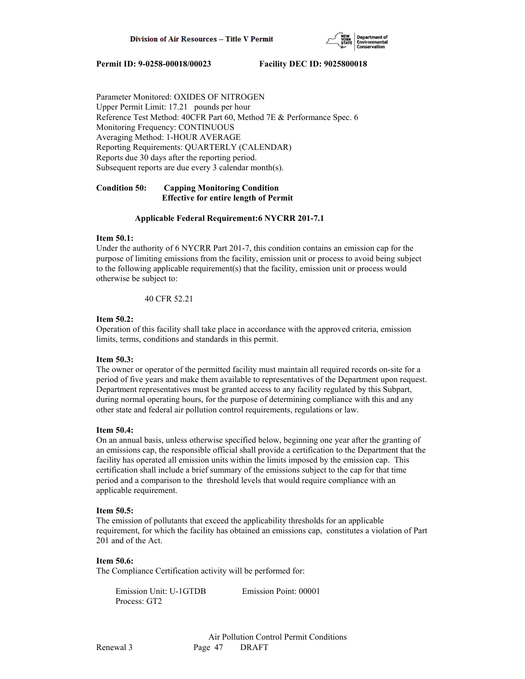

Parameter Monitored: OXIDES OF NITROGEN Upper Permit Limit: 17.21 pounds per hour Reference Test Method: 40CFR Part 60, Method 7E & Performance Spec. 6 Monitoring Frequency: CONTINUOUS Averaging Method: 1-HOUR AVERAGE Reporting Requirements: QUARTERLY (CALENDAR) Reports due 30 days after the reporting period. Subsequent reports are due every 3 calendar month(s).

# **Condition 50: Capping Monitoring Condition Effective for entire length of Permit**

# **Applicable Federal Requirement:6 NYCRR 201-7.1**

# **Item 50.1:**

Under the authority of 6 NYCRR Part 201-7, this condition contains an emission cap for the purpose of limiting emissions from the facility, emission unit or process to avoid being subject to the following applicable requirement(s) that the facility, emission unit or process would otherwise be subject to:

40 CFR 52.21

### **Item 50.2:**

Operation of this facility shall take place in accordance with the approved criteria, emission limits, terms, conditions and standards in this permit.

# **Item 50.3:**

The owner or operator of the permitted facility must maintain all required records on-site for a period of five years and make them available to representatives of the Department upon request. Department representatives must be granted access to any facility regulated by this Subpart, during normal operating hours, for the purpose of determining compliance with this and any other state and federal air pollution control requirements, regulations or law.

# **Item 50.4:**

On an annual basis, unless otherwise specified below, beginning one year after the granting of an emissions cap, the responsible official shall provide a certification to the Department that the facility has operated all emission units within the limits imposed by the emission cap. This certification shall include a brief summary of the emissions subject to the cap for that time period and a comparison to the threshold levels that would require compliance with an applicable requirement.

# **Item 50.5:**

The emission of pollutants that exceed the applicability thresholds for an applicable requirement, for which the facility has obtained an emissions cap, constitutes a violation of Part 201 and of the Act.

# **Item 50.6:**

The Compliance Certification activity will be performed for:

 Emission Unit: U-1GTDB Emission Point: 00001 Process: GT2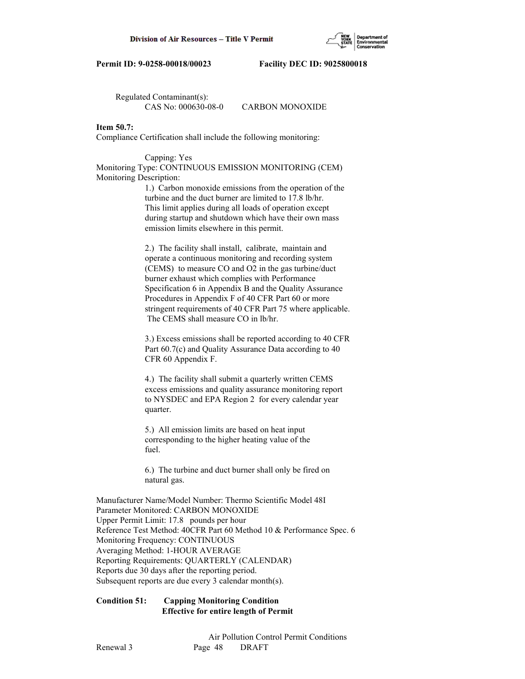

Regulated Contaminant(s):

CAS No: 000630-08-0 CARBON MONOXIDE

# **Item 50.7:**

Compliance Certification shall include the following monitoring:

## Capping: Yes

Monitoring Type: CONTINUOUS EMISSION MONITORING (CEM) Monitoring Description:

> 1.) Carbon monoxide emissions from the operation of the turbine and the duct burner are limited to 17.8 lb/hr. This limit applies during all loads of operation except during startup and shutdown which have their own mass emission limits elsewhere in this permit.

 2.) The facility shall install, calibrate, maintain and operate a continuous monitoring and recording system (CEMS) to measure CO and O2 in the gas turbine/duct burner exhaust which complies with Performance Specification 6 in Appendix B and the Quality Assurance Procedures in Appendix F of 40 CFR Part 60 or more stringent requirements of 40 CFR Part 75 where applicable. The CEMS shall measure CO in lb/hr.

 3.) Excess emissions shall be reported according to 40 CFR Part 60.7(c) and Quality Assurance Data according to 40 CFR 60 Appendix F.

 4.) The facility shall submit a quarterly written CEMS excess emissions and quality assurance monitoring report to NYSDEC and EPA Region 2 for every calendar year quarter.

 5.) All emission limits are based on heat input corresponding to the higher heating value of the fuel.

 6.) The turbine and duct burner shall only be fired on natural gas.

Manufacturer Name/Model Number: Thermo Scientific Model 48I Parameter Monitored: CARBON MONOXIDE Upper Permit Limit: 17.8 pounds per hour Reference Test Method: 40CFR Part 60 Method 10 & Performance Spec. 6 Monitoring Frequency: CONTINUOUS Averaging Method: 1-HOUR AVERAGE Reporting Requirements: QUARTERLY (CALENDAR) Reports due 30 days after the reporting period. Subsequent reports are due every 3 calendar month(s).

# **Condition 51: Capping Monitoring Condition Effective for entire length of Permit**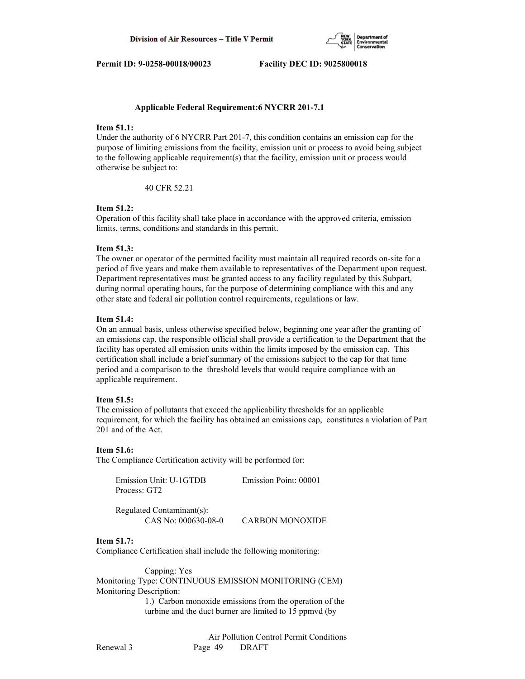

### **Applicable Federal Requirement:6 NYCRR 201-7.1**

# **Item 51.1:**

Under the authority of 6 NYCRR Part 201-7, this condition contains an emission cap for the purpose of limiting emissions from the facility, emission unit or process to avoid being subject to the following applicable requirement(s) that the facility, emission unit or process would otherwise be subject to:

40 CFR 52.21

# **Item 51.2:**

Operation of this facility shall take place in accordance with the approved criteria, emission limits, terms, conditions and standards in this permit.

### **Item 51.3:**

The owner or operator of the permitted facility must maintain all required records on-site for a period of five years and make them available to representatives of the Department upon request. Department representatives must be granted access to any facility regulated by this Subpart, during normal operating hours, for the purpose of determining compliance with this and any other state and federal air pollution control requirements, regulations or law.

#### **Item 51.4:**

On an annual basis, unless otherwise specified below, beginning one year after the granting of an emissions cap, the responsible official shall provide a certification to the Department that the facility has operated all emission units within the limits imposed by the emission cap. This certification shall include a brief summary of the emissions subject to the cap for that time period and a comparison to the threshold levels that would require compliance with an applicable requirement.

#### **Item 51.5:**

The emission of pollutants that exceed the applicability thresholds for an applicable requirement, for which the facility has obtained an emissions cap, constitutes a violation of Part 201 and of the Act.

#### **Item 51.6:**

The Compliance Certification activity will be performed for:

| Emission Unit: U-1GTDB<br>Process: GT2           | Emission Point: 00001  |
|--------------------------------------------------|------------------------|
| Regulated Contaminant(s):<br>CAS No: 000630-08-0 | <b>CARBON MONOXIDE</b> |

# **Item 51.7:**

Compliance Certification shall include the following monitoring:

 Capping: Yes Monitoring Type: CONTINUOUS EMISSION MONITORING (CEM) Monitoring Description:

> 1.) Carbon monoxide emissions from the operation of the turbine and the duct burner are limited to 15 ppmvd (by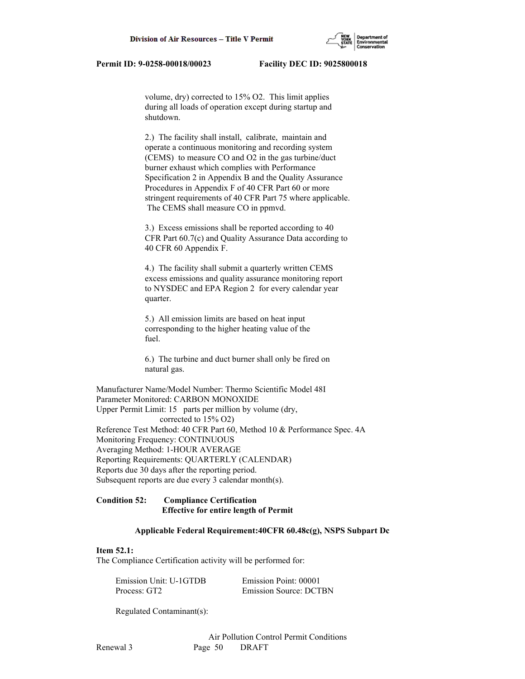volume, dry) corrected to 15% O2. This limit applies during all loads of operation except during startup and shutdown.

 2.) The facility shall install, calibrate, maintain and operate a continuous monitoring and recording system (CEMS) to measure CO and O2 in the gas turbine/duct burner exhaust which complies with Performance Specification 2 in Appendix B and the Quality Assurance Procedures in Appendix F of 40 CFR Part 60 or more stringent requirements of 40 CFR Part 75 where applicable. The CEMS shall measure CO in ppmvd.

 3.) Excess emissions shall be reported according to 40 CFR Part 60.7(c) and Quality Assurance Data according to 40 CFR 60 Appendix F.

 4.) The facility shall submit a quarterly written CEMS excess emissions and quality assurance monitoring report to NYSDEC and EPA Region 2 for every calendar year quarter.

 5.) All emission limits are based on heat input corresponding to the higher heating value of the fuel.

 6.) The turbine and duct burner shall only be fired on natural gas.

Manufacturer Name/Model Number: Thermo Scientific Model 48I Parameter Monitored: CARBON MONOXIDE Upper Permit Limit: 15 parts per million by volume (dry, corrected to 15% O2) Reference Test Method: 40 CFR Part 60, Method 10 & Performance Spec. 4A Monitoring Frequency: CONTINUOUS Averaging Method: 1-HOUR AVERAGE Reporting Requirements: QUARTERLY (CALENDAR) Reports due 30 days after the reporting period. Subsequent reports are due every 3 calendar month(s).

# **Condition 52: Compliance Certification Effective for entire length of Permit**

#### **Applicable Federal Requirement:40CFR 60.48c(g), NSPS Subpart Dc**

## **Item 52.1:**

The Compliance Certification activity will be performed for:

| Emission Unit: U-1GTDB | Emission Point: 00001         |
|------------------------|-------------------------------|
| Process: GT2           | <b>Emission Source: DCTBN</b> |

Regulated Contaminant(s):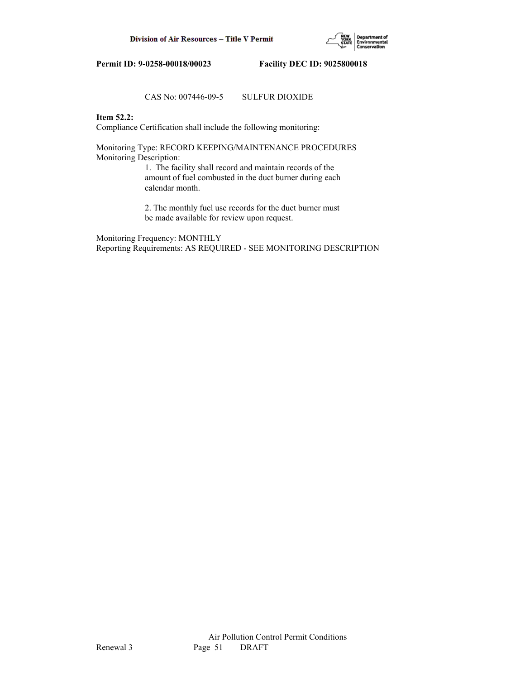

# CAS No: 007446-09-5 SULFUR DIOXIDE

# **Item 52.2:**

Compliance Certification shall include the following monitoring:

Monitoring Type: RECORD KEEPING/MAINTENANCE PROCEDURES Monitoring Description:

> 1. The facility shall record and maintain records of the amount of fuel combusted in the duct burner during each calendar month.

> 2. The monthly fuel use records for the duct burner must be made available for review upon request.

Monitoring Frequency: MONTHLY Reporting Requirements: AS REQUIRED - SEE MONITORING DESCRIPTION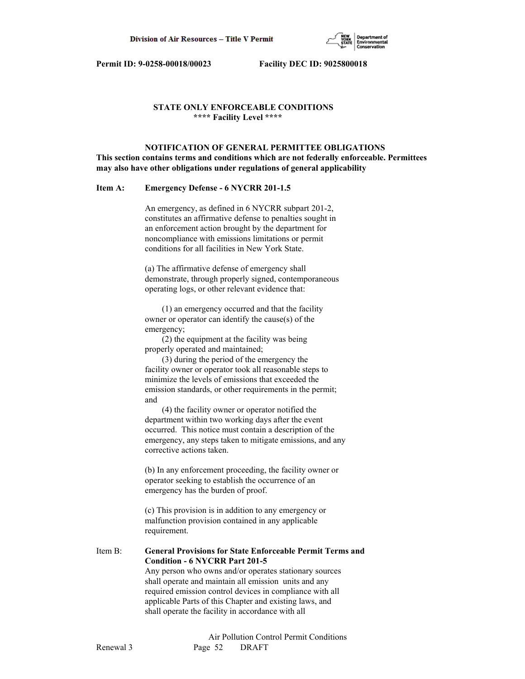

# **STATE ONLY ENFORCEABLE CONDITIONS \*\*\*\* Facility Level \*\*\*\***

 **NOTIFICATION OF GENERAL PERMITTEE OBLIGATIONS This section contains terms and conditions which are not federally enforceable. Permittees may also have other obligations under regulations of general applicability**

# **Item A: Emergency Defense - 6 NYCRR 201-1.5**

 An emergency, as defined in 6 NYCRR subpart 201-2, constitutes an affirmative defense to penalties sought in an enforcement action brought by the department for noncompliance with emissions limitations or permit conditions for all facilities in New York State.

 (a) The affirmative defense of emergency shall demonstrate, through properly signed, contemporaneous operating logs, or other relevant evidence that:

 (1) an emergency occurred and that the facility owner or operator can identify the cause(s) of the emergency;

 (2) the equipment at the facility was being properly operated and maintained;

 (3) during the period of the emergency the facility owner or operator took all reasonable steps to minimize the levels of emissions that exceeded the emission standards, or other requirements in the permit; and

 (4) the facility owner or operator notified the department within two working days after the event occurred. This notice must contain a description of the emergency, any steps taken to mitigate emissions, and any corrective actions taken.

 (b) In any enforcement proceeding, the facility owner or operator seeking to establish the occurrence of an emergency has the burden of proof.

 (c) This provision is in addition to any emergency or malfunction provision contained in any applicable requirement.

Item B: **General Provisions for State Enforceable Permit Terms and Condition - 6 NYCRR Part 201-5** Any person who owns and/or operates stationary sources shall operate and maintain all emission units and any required emission control devices in compliance with all

 applicable Parts of this Chapter and existing laws, and shall operate the facility in accordance with all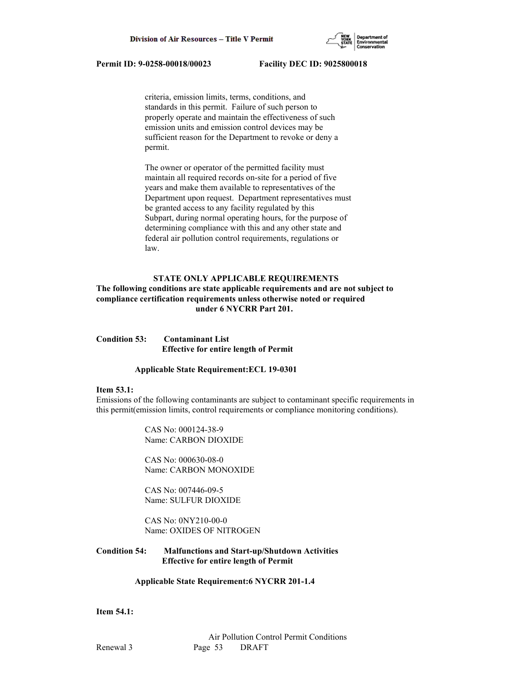

 criteria, emission limits, terms, conditions, and standards in this permit. Failure of such person to properly operate and maintain the effectiveness of such emission units and emission control devices may be sufficient reason for the Department to revoke or deny a permit.

 The owner or operator of the permitted facility must maintain all required records on-site for a period of five years and make them available to representatives of the Department upon request. Department representatives must be granted access to any facility regulated by this Subpart, during normal operating hours, for the purpose of determining compliance with this and any other state and federal air pollution control requirements, regulations or law.

# **STATE ONLY APPLICABLE REQUIREMENTS**

# **The following conditions are state applicable requirements and are not subject to compliance certification requirements unless otherwise noted or required under 6 NYCRR Part 201.**

**Condition 53: Contaminant List Effective for entire length of Permit**

#### **Applicable State Requirement:ECL 19-0301**

#### **Item 53.1:**

Emissions of the following contaminants are subject to contaminant specific requirements in this permit(emission limits, control requirements or compliance monitoring conditions).

> CAS No: 000124-38-9 Name: CARBON DIOXIDE

 CAS No: 000630-08-0 Name: CARBON MONOXIDE

 CAS No: 007446-09-5 Name: SULFUR DIOXIDE

 CAS No: 0NY210-00-0 Name: OXIDES OF NITROGEN

# **Condition 54: Malfunctions and Start-up/Shutdown Activities Effective for entire length of Permit**

# **Applicable State Requirement:6 NYCRR 201-1.4**

# **Item 54.1:**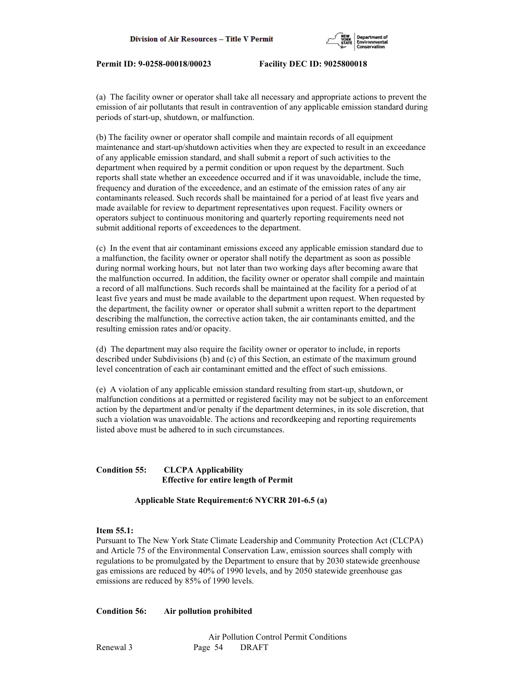

(a) The facility owner or operator shall take all necessary and appropriate actions to prevent the emission of air pollutants that result in contravention of any applicable emission standard during periods of start-up, shutdown, or malfunction.

(b) The facility owner or operator shall compile and maintain records of all equipment maintenance and start-up/shutdown activities when they are expected to result in an exceedance of any applicable emission standard, and shall submit a report of such activities to the department when required by a permit condition or upon request by the department. Such reports shall state whether an exceedence occurred and if it was unavoidable, include the time, frequency and duration of the exceedence, and an estimate of the emission rates of any air contaminants released. Such records shall be maintained for a period of at least five years and made available for review to department representatives upon request. Facility owners or operators subject to continuous monitoring and quarterly reporting requirements need not submit additional reports of exceedences to the department.

(c) In the event that air contaminant emissions exceed any applicable emission standard due to a malfunction, the facility owner or operator shall notify the department as soon as possible during normal working hours, but not later than two working days after becoming aware that the malfunction occurred. In addition, the facility owner or operator shall compile and maintain a record of all malfunctions. Such records shall be maintained at the facility for a period of at least five years and must be made available to the department upon request. When requested by the department, the facility owner or operator shall submit a written report to the department describing the malfunction, the corrective action taken, the air contaminants emitted, and the resulting emission rates and/or opacity.

(d) The department may also require the facility owner or operator to include, in reports described under Subdivisions (b) and (c) of this Section, an estimate of the maximum ground level concentration of each air contaminant emitted and the effect of such emissions.

(e) A violation of any applicable emission standard resulting from start-up, shutdown, or malfunction conditions at a permitted or registered facility may not be subject to an enforcement action by the department and/or penalty if the department determines, in its sole discretion, that such a violation was unavoidable. The actions and recordkeeping and reporting requirements listed above must be adhered to in such circumstances.

# **Condition 55: CLCPA Applicability Effective for entire length of Permit**

 **Applicable State Requirement:6 NYCRR 201-6.5 (a)**

# **Item 55.1:**

Pursuant to The New York State Climate Leadership and Community Protection Act (CLCPA) and Article 75 of the Environmental Conservation Law, emission sources shall comply with regulations to be promulgated by the Department to ensure that by 2030 statewide greenhouse gas emissions are reduced by 40% of 1990 levels, and by 2050 statewide greenhouse gas emissions are reduced by 85% of 1990 levels.

# **Condition 56: Air pollution prohibited**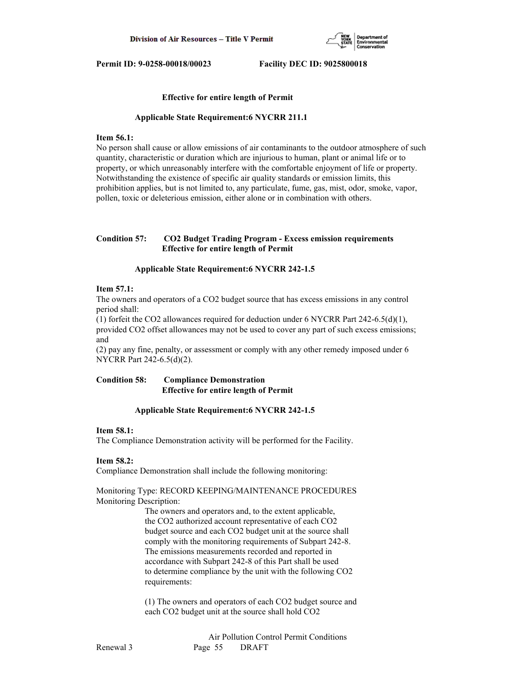

### **Effective for entire length of Permit**

#### **Applicable State Requirement:6 NYCRR 211.1**

# **Item 56.1:**

No person shall cause or allow emissions of air contaminants to the outdoor atmosphere of such quantity, characteristic or duration which are injurious to human, plant or animal life or to property, or which unreasonably interfere with the comfortable enjoyment of life or property. Notwithstanding the existence of specific air quality standards or emission limits, this prohibition applies, but is not limited to, any particulate, fume, gas, mist, odor, smoke, vapor, pollen, toxic or deleterious emission, either alone or in combination with others.

# **Condition 57: CO2 Budget Trading Program - Excess emission requirements Effective for entire length of Permit**

#### **Applicable State Requirement:6 NYCRR 242-1.5**

## **Item 57.1:**

The owners and operators of a CO2 budget source that has excess emissions in any control period shall:

(1) forfeit the CO2 allowances required for deduction under 6 NYCRR Part 242-6.5(d)(1), provided CO2 offset allowances may not be used to cover any part of such excess emissions; and

(2) pay any fine, penalty, or assessment or comply with any other remedy imposed under 6 NYCRR Part 242-6.5(d)(2).

# **Condition 58: Compliance Demonstration Effective for entire length of Permit**

## **Applicable State Requirement:6 NYCRR 242-1.5**

#### **Item 58.1:**

The Compliance Demonstration activity will be performed for the Facility.

#### **Item 58.2:**

Compliance Demonstration shall include the following monitoring:

## Monitoring Type: RECORD KEEPING/MAINTENANCE PROCEDURES Monitoring Description:

 The owners and operators and, to the extent applicable, the CO2 authorized account representative of each CO2 budget source and each CO2 budget unit at the source shall comply with the monitoring requirements of Subpart 242-8. The emissions measurements recorded and reported in accordance with Subpart 242-8 of this Part shall be used to determine compliance by the unit with the following CO2 requirements:

 (1) The owners and operators of each CO2 budget source and each CO2 budget unit at the source shall hold CO2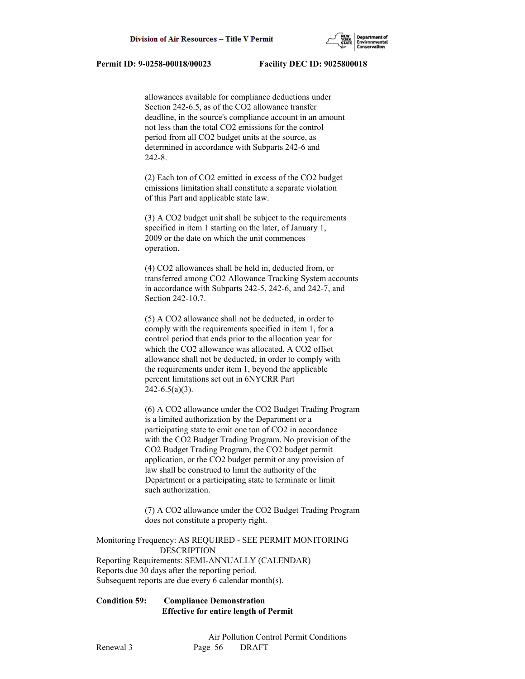

 allowances available for compliance deductions under Section 242-6.5, as of the CO2 allowance transfer deadline, in the source's compliance account in an amount not less than the total CO2 emissions for the control period from all CO2 budget units at the source, as determined in accordance with Subparts 242-6 and 242-8.

 (2) Each ton of CO2 emitted in excess of the CO2 budget emissions limitation shall constitute a separate violation of this Part and applicable state law.

 (3) A CO2 budget unit shall be subject to the requirements specified in item 1 starting on the later, of January 1, 2009 or the date on which the unit commences operation.

 (4) CO2 allowances shall be held in, deducted from, or transferred among CO2 Allowance Tracking System accounts in accordance with Subparts 242-5, 242-6, and 242-7, and Section 242-10.7.

 (5) A CO2 allowance shall not be deducted, in order to comply with the requirements specified in item 1, for a control period that ends prior to the allocation year for which the CO2 allowance was allocated. A CO2 offset allowance shall not be deducted, in order to comply with the requirements under item 1, beyond the applicable percent limitations set out in 6NYCRR Part  $242 - 6.5(a)(3)$ .

 (6) A CO2 allowance under the CO2 Budget Trading Program is a limited authorization by the Department or a participating state to emit one ton of CO2 in accordance with the CO2 Budget Trading Program. No provision of the CO2 Budget Trading Program, the CO2 budget permit application, or the CO2 budget permit or any provision of law shall be construed to limit the authority of the Department or a participating state to terminate or limit such authorization.

 (7) A CO2 allowance under the CO2 Budget Trading Program does not constitute a property right.

Monitoring Frequency: AS REQUIRED - SEE PERMIT MONITORING DESCRIPTION Reporting Requirements: SEMI-ANNUALLY (CALENDAR) Reports due 30 days after the reporting period. Subsequent reports are due every 6 calendar month(s).

# **Condition 59: Compliance Demonstration Effective for entire length of Permit**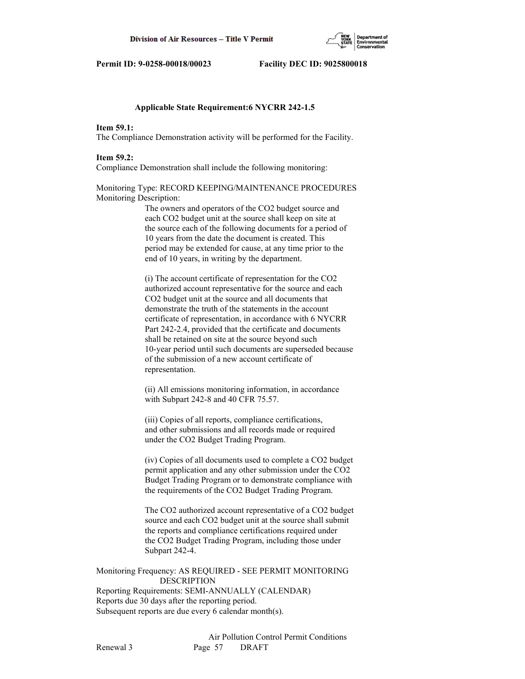

## **Applicable State Requirement:6 NYCRR 242-1.5**

# **Item 59.1:**

The Compliance Demonstration activity will be performed for the Facility.

#### **Item 59.2:**

Compliance Demonstration shall include the following monitoring:

# Monitoring Type: RECORD KEEPING/MAINTENANCE PROCEDURES Monitoring Description:

 The owners and operators of the CO2 budget source and each CO2 budget unit at the source shall keep on site at the source each of the following documents for a period of 10 years from the date the document is created. This period may be extended for cause, at any time prior to the end of 10 years, in writing by the department.

 (i) The account certificate of representation for the CO2 authorized account representative for the source and each CO2 budget unit at the source and all documents that demonstrate the truth of the statements in the account certificate of representation, in accordance with 6 NYCRR Part 242-2.4, provided that the certificate and documents shall be retained on site at the source beyond such 10-year period until such documents are superseded because of the submission of a new account certificate of representation.

 (ii) All emissions monitoring information, in accordance with Subpart 242-8 and 40 CFR 75.57.

 (iii) Copies of all reports, compliance certifications, and other submissions and all records made or required under the CO2 Budget Trading Program.

 (iv) Copies of all documents used to complete a CO2 budget permit application and any other submission under the CO2 Budget Trading Program or to demonstrate compliance with the requirements of the CO2 Budget Trading Program.

 The CO2 authorized account representative of a CO2 budget source and each CO2 budget unit at the source shall submit the reports and compliance certifications required under the CO2 Budget Trading Program, including those under Subpart 242-4.

# Monitoring Frequency: AS REQUIRED - SEE PERMIT MONITORING DESCRIPTION Reporting Requirements: SEMI-ANNUALLY (CALENDAR)

Reports due 30 days after the reporting period. Subsequent reports are due every 6 calendar month(s).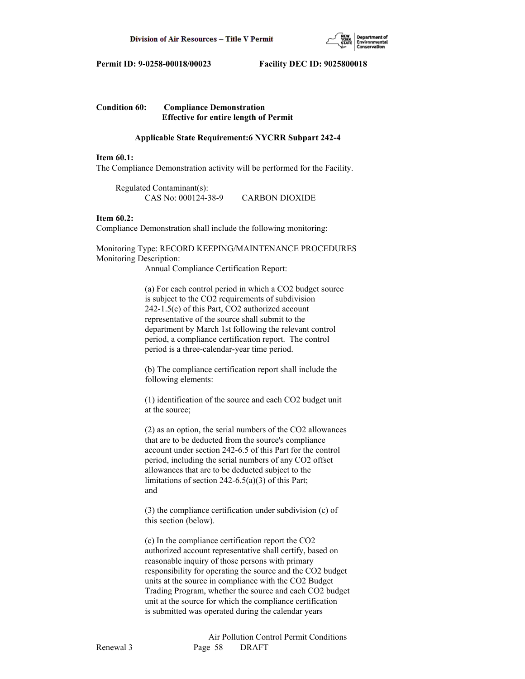

# **Condition 60: Compliance Demonstration Effective for entire length of Permit**

# **Applicable State Requirement:6 NYCRR Subpart 242-4**

# **Item 60.1:**

The Compliance Demonstration activity will be performed for the Facility.

 Regulated Contaminant(s): CAS No: 000124-38-9 CARBON DIOXIDE

# **Item 60.2:**

Compliance Demonstration shall include the following monitoring:

Monitoring Type: RECORD KEEPING/MAINTENANCE PROCEDURES Monitoring Description:

Annual Compliance Certification Report:

 (a) For each control period in which a CO2 budget source is subject to the CO2 requirements of subdivision 242-1.5(c) of this Part, CO2 authorized account representative of the source shall submit to the department by March 1st following the relevant control period, a compliance certification report. The control period is a three-calendar-year time period.

 (b) The compliance certification report shall include the following elements:

 (1) identification of the source and each CO2 budget unit at the source;

 (2) as an option, the serial numbers of the CO2 allowances that are to be deducted from the source's compliance account under section 242-6.5 of this Part for the control period, including the serial numbers of any CO2 offset allowances that are to be deducted subject to the limitations of section 242-6.5(a)(3) of this Part; and

 (3) the compliance certification under subdivision (c) of this section (below).

 (c) In the compliance certification report the CO2 authorized account representative shall certify, based on reasonable inquiry of those persons with primary responsibility for operating the source and the CO2 budget units at the source in compliance with the CO2 Budget Trading Program, whether the source and each CO2 budget unit at the source for which the compliance certification is submitted was operated during the calendar years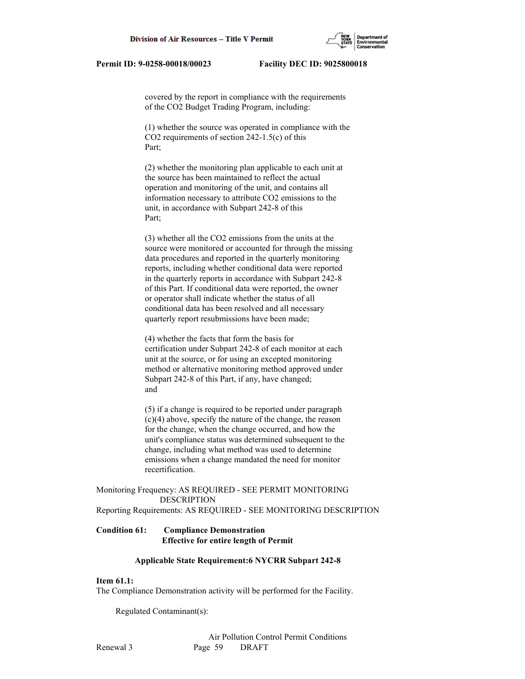

 covered by the report in compliance with the requirements of the CO2 Budget Trading Program, including:

 (1) whether the source was operated in compliance with the CO2 requirements of section 242-1.5(c) of this Part;

 (2) whether the monitoring plan applicable to each unit at the source has been maintained to reflect the actual operation and monitoring of the unit, and contains all information necessary to attribute CO2 emissions to the unit, in accordance with Subpart 242-8 of this Part;

 (3) whether all the CO2 emissions from the units at the source were monitored or accounted for through the missing data procedures and reported in the quarterly monitoring reports, including whether conditional data were reported in the quarterly reports in accordance with Subpart 242-8 of this Part. If conditional data were reported, the owner or operator shall indicate whether the status of all conditional data has been resolved and all necessary quarterly report resubmissions have been made;

 (4) whether the facts that form the basis for certification under Subpart 242-8 of each monitor at each unit at the source, or for using an excepted monitoring method or alternative monitoring method approved under Subpart 242-8 of this Part, if any, have changed; and

 (5) if a change is required to be reported under paragraph (c)(4) above, specify the nature of the change, the reason for the change, when the change occurred, and how the unit's compliance status was determined subsequent to the change, including what method was used to determine emissions when a change mandated the need for monitor recertification.

# Monitoring Frequency: AS REQUIRED - SEE PERMIT MONITORING DESCRIPTION

Reporting Requirements: AS REQUIRED - SEE MONITORING DESCRIPTION

# **Condition 61: Compliance Demonstration Effective for entire length of Permit**

#### **Applicable State Requirement:6 NYCRR Subpart 242-8**

## **Item 61.1:**

The Compliance Demonstration activity will be performed for the Facility.

Regulated Contaminant(s):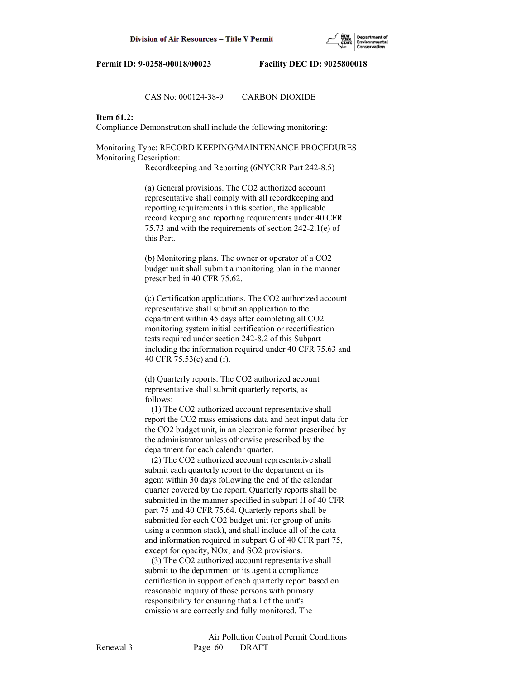

## CAS No: 000124-38-9 CARBON DIOXIDE

# **Item 61.2:**

Compliance Demonstration shall include the following monitoring:

Monitoring Type: RECORD KEEPING/MAINTENANCE PROCEDURES Monitoring Description:

Recordkeeping and Reporting (6NYCRR Part 242-8.5)

 (a) General provisions. The CO2 authorized account representative shall comply with all recordkeeping and reporting requirements in this section, the applicable record keeping and reporting requirements under 40 CFR 75.73 and with the requirements of section 242-2.1(e) of this Part.

 (b) Monitoring plans. The owner or operator of a CO2 budget unit shall submit a monitoring plan in the manner prescribed in 40 CFR 75.62.

 (c) Certification applications. The CO2 authorized account representative shall submit an application to the department within 45 days after completing all CO2 monitoring system initial certification or recertification tests required under section 242-8.2 of this Subpart including the information required under 40 CFR 75.63 and 40 CFR 75.53(e) and (f).

 (d) Quarterly reports. The CO2 authorized account representative shall submit quarterly reports, as follows:

 (1) The CO2 authorized account representative shall report the CO2 mass emissions data and heat input data for the CO2 budget unit, in an electronic format prescribed by the administrator unless otherwise prescribed by the department for each calendar quarter.

 (2) The CO2 authorized account representative shall submit each quarterly report to the department or its agent within 30 days following the end of the calendar quarter covered by the report. Quarterly reports shall be submitted in the manner specified in subpart H of 40 CFR part 75 and 40 CFR 75.64. Quarterly reports shall be submitted for each CO2 budget unit (or group of units using a common stack), and shall include all of the data and information required in subpart G of 40 CFR part 75, except for opacity, NOx, and SO2 provisions.

 (3) The CO2 authorized account representative shall submit to the department or its agent a compliance certification in support of each quarterly report based on reasonable inquiry of those persons with primary responsibility for ensuring that all of the unit's emissions are correctly and fully monitored. The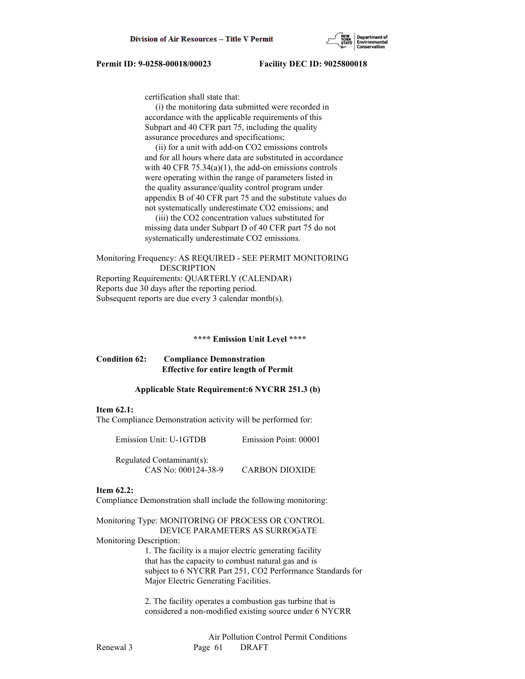certification shall state that:

 (i) the monitoring data submitted were recorded in accordance with the applicable requirements of this Subpart and 40 CFR part 75, including the quality assurance procedures and specifications;

 (ii) for a unit with add-on CO2 emissions controls and for all hours where data are substituted in accordance with 40 CFR  $75.34(a)(1)$ , the add-on emissions controls were operating within the range of parameters listed in the quality assurance/quality control program under appendix B of 40 CFR part 75 and the substitute values do not systematically underestimate CO2 emissions; and

 (iii) the CO2 concentration values substituted for missing data under Subpart D of 40 CFR part 75 do not systematically underestimate CO2 emissions.

Monitoring Frequency: AS REQUIRED - SEE PERMIT MONITORING DESCRIPTION Reporting Requirements: QUARTERLY (CALENDAR) Reports due 30 days after the reporting period. Subsequent reports are due every 3 calendar month(s).

# **\*\*\*\* Emission Unit Level \*\*\*\***

# **Condition 62: Compliance Demonstration Effective for entire length of Permit**

## **Applicable State Requirement:6 NYCRR 251.3 (b)**

#### **Item 62.1:**

The Compliance Demonstration activity will be performed for:

Emission Unit: U-1GTDB Emission Point: 00001

 Regulated Contaminant(s): CAS No: 000124-38-9 CARBON DIOXIDE

# **Item 62.2:**

Compliance Demonstration shall include the following monitoring:

Monitoring Type: MONITORING OF PROCESS OR CONTROL DEVICE PARAMETERS AS SURROGATE Monitoring Description:

 1. The facility is a major electric generating facility that has the capacity to combust natural gas and is subject to 6 NYCRR Part 251, CO2 Performance Standards for Major Electric Generating Facilities.

 2. The facility operates a combustion gas turbine that is considered a non-modified existing source under 6 NYCRR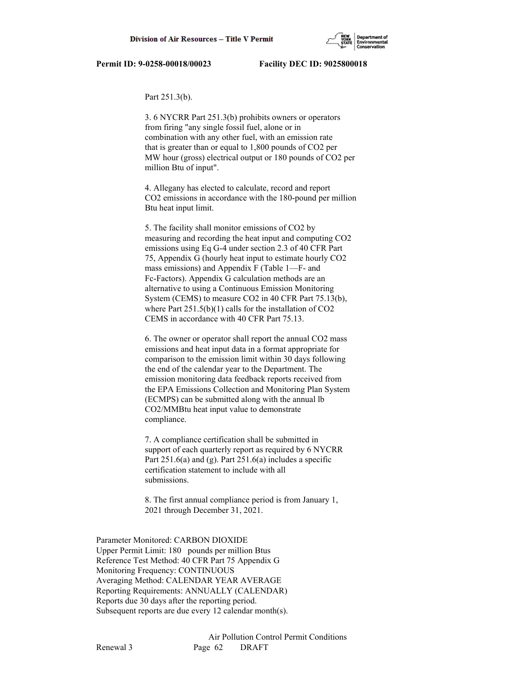#### Part 251.3(b).

 3. 6 NYCRR Part 251.3(b) prohibits owners or operators from firing "any single fossil fuel, alone or in combination with any other fuel, with an emission rate that is greater than or equal to 1,800 pounds of CO2 per MW hour (gross) electrical output or 180 pounds of CO2 per million Btu of input".

 4. Allegany has elected to calculate, record and report CO2 emissions in accordance with the 180-pound per million Btu heat input limit.

 5. The facility shall monitor emissions of CO2 by measuring and recording the heat input and computing CO2 emissions using Eq G-4 under section 2.3 of 40 CFR Part 75, Appendix G (hourly heat input to estimate hourly CO2 mass emissions) and Appendix F (Table 1—F- and Fc-Factors). Appendix G calculation methods are an alternative to using a Continuous Emission Monitoring System (CEMS) to measure CO2 in 40 CFR Part 75.13(b), where Part 251.5(b)(1) calls for the installation of CO2 CEMS in accordance with 40 CFR Part 75.13.

 6. The owner or operator shall report the annual CO2 mass emissions and heat input data in a format appropriate for comparison to the emission limit within 30 days following the end of the calendar year to the Department. The emission monitoring data feedback reports received from the EPA Emissions Collection and Monitoring Plan System (ECMPS) can be submitted along with the annual lb CO2/MMBtu heat input value to demonstrate compliance.

 7. A compliance certification shall be submitted in support of each quarterly report as required by 6 NYCRR Part  $251.6(a)$  and (g). Part  $251.6(a)$  includes a specific certification statement to include with all submissions.

 8. The first annual compliance period is from January 1, 2021 through December 31, 2021.

Parameter Monitored: CARBON DIOXIDE Upper Permit Limit: 180 pounds per million Btus Reference Test Method: 40 CFR Part 75 Appendix G Monitoring Frequency: CONTINUOUS Averaging Method: CALENDAR YEAR AVERAGE Reporting Requirements: ANNUALLY (CALENDAR) Reports due 30 days after the reporting period. Subsequent reports are due every 12 calendar month(s).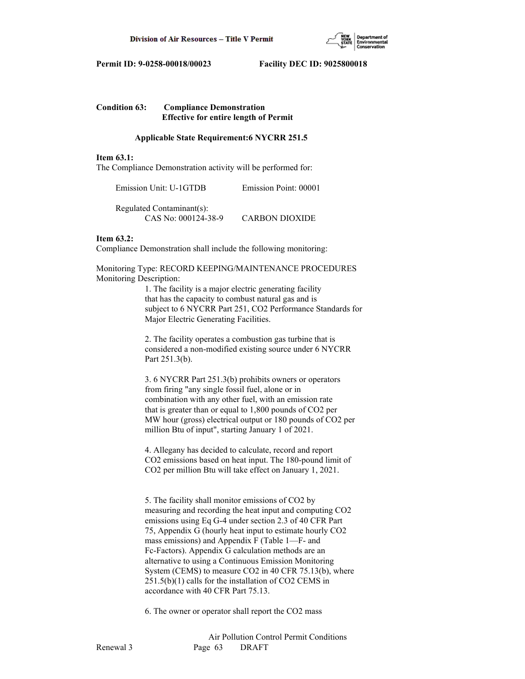

# **Condition 63: Compliance Demonstration Effective for entire length of Permit**

## **Applicable State Requirement:6 NYCRR 251.5**

#### **Item 63.1:**

The Compliance Demonstration activity will be performed for:

| Emission Unit: U-1GTDB | Emission Point: 00001 |
|------------------------|-----------------------|
|------------------------|-----------------------|

 Regulated Contaminant(s): CAS No: 000124-38-9 CARBON DIOXIDE

### **Item 63.2:**

Compliance Demonstration shall include the following monitoring:

Monitoring Type: RECORD KEEPING/MAINTENANCE PROCEDURES Monitoring Description:

> 1. The facility is a major electric generating facility that has the capacity to combust natural gas and is subject to 6 NYCRR Part 251, CO2 Performance Standards for Major Electric Generating Facilities.

 2. The facility operates a combustion gas turbine that is considered a non-modified existing source under 6 NYCRR Part 251.3(b).

 3. 6 NYCRR Part 251.3(b) prohibits owners or operators from firing "any single fossil fuel, alone or in combination with any other fuel, with an emission rate that is greater than or equal to 1,800 pounds of CO2 per MW hour (gross) electrical output or 180 pounds of CO2 per million Btu of input", starting January 1 of 2021.

 4. Allegany has decided to calculate, record and report CO2 emissions based on heat input. The 180-pound limit of CO2 per million Btu will take effect on January 1, 2021.

 5. The facility shall monitor emissions of CO2 by measuring and recording the heat input and computing CO2 emissions using Eq G-4 under section 2.3 of 40 CFR Part 75, Appendix G (hourly heat input to estimate hourly CO2 mass emissions) and Appendix F (Table 1—F- and Fc-Factors). Appendix G calculation methods are an alternative to using a Continuous Emission Monitoring System (CEMS) to measure CO2 in 40 CFR 75.13(b), where 251.5(b)(1) calls for the installation of CO2 CEMS in accordance with 40 CFR Part 75.13.

6. The owner or operator shall report the CO2 mass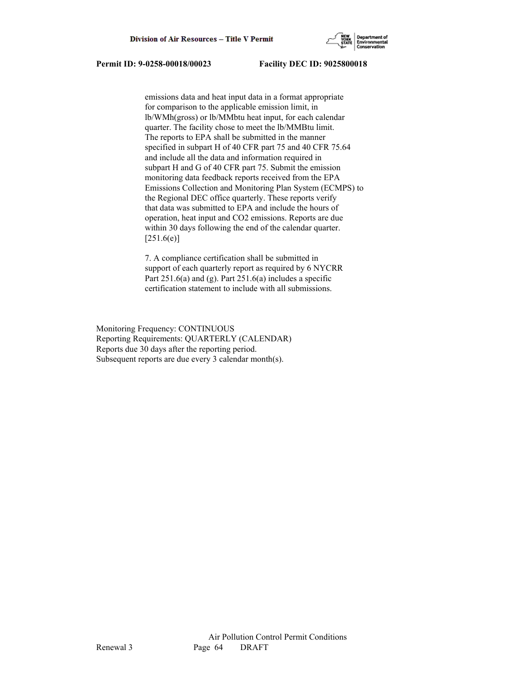

 emissions data and heat input data in a format appropriate for comparison to the applicable emission limit, in lb/WMh(gross) or lb/MMbtu heat input, for each calendar quarter. The facility chose to meet the lb/MMBtu limit. The reports to EPA shall be submitted in the manner specified in subpart H of 40 CFR part 75 and 40 CFR 75.64 and include all the data and information required in subpart H and G of 40 CFR part 75. Submit the emission monitoring data feedback reports received from the EPA Emissions Collection and Monitoring Plan System (ECMPS) to the Regional DEC office quarterly. These reports verify that data was submitted to EPA and include the hours of operation, heat input and CO2 emissions. Reports are due within 30 days following the end of the calendar quarter.  $[251.6(e)]$ 

 7. A compliance certification shall be submitted in support of each quarterly report as required by 6 NYCRR Part  $251.6(a)$  and (g). Part  $251.6(a)$  includes a specific certification statement to include with all submissions.

Monitoring Frequency: CONTINUOUS Reporting Requirements: QUARTERLY (CALENDAR) Reports due 30 days after the reporting period. Subsequent reports are due every 3 calendar month(s).